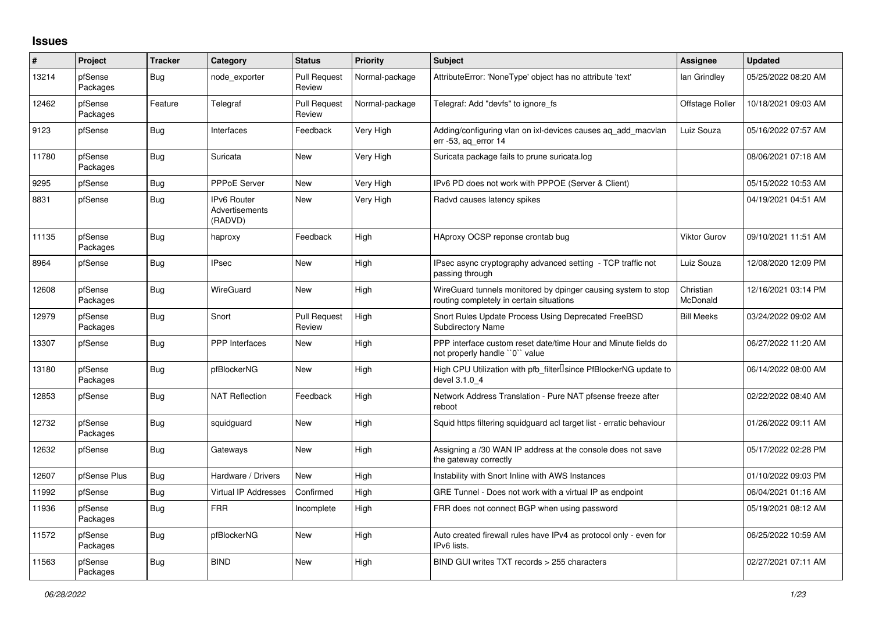## **Issues**

| ∦     | Project             | <b>Tracker</b> | Category                                               | <b>Status</b>                 | <b>Priority</b> | <b>Subject</b>                                                                                            | <b>Assignee</b>       | <b>Updated</b>      |
|-------|---------------------|----------------|--------------------------------------------------------|-------------------------------|-----------------|-----------------------------------------------------------------------------------------------------------|-----------------------|---------------------|
| 13214 | pfSense<br>Packages | Bug            | node exporter                                          | <b>Pull Request</b><br>Review | Normal-package  | AttributeError: 'NoneType' object has no attribute 'text'                                                 | lan Grindley          | 05/25/2022 08:20 AM |
| 12462 | pfSense<br>Packages | Feature        | Telegraf                                               | <b>Pull Request</b><br>Review | Normal-package  | Telegraf: Add "devfs" to ignore fs                                                                        | Offstage Roller       | 10/18/2021 09:03 AM |
| 9123  | pfSense             | Bug            | Interfaces                                             | Feedback                      | Very High       | Adding/configuring vlan on ixl-devices causes ag add macvlan<br>err -53, ag error 14                      | Luiz Souza            | 05/16/2022 07:57 AM |
| 11780 | pfSense<br>Packages | Bug            | Suricata                                               | New                           | Very High       | Suricata package fails to prune suricata.log                                                              |                       | 08/06/2021 07:18 AM |
| 9295  | pfSense             | Bug            | <b>PPPoE Server</b>                                    | <b>New</b>                    | Very High       | IPv6 PD does not work with PPPOE (Server & Client)                                                        |                       | 05/15/2022 10:53 AM |
| 8831  | pfSense             | Bug            | <b>IPv6 Router</b><br><b>Advertisements</b><br>(RADVD) | <b>New</b>                    | Very High       | Radvd causes latency spikes                                                                               |                       | 04/19/2021 04:51 AM |
| 11135 | pfSense<br>Packages | Bug            | haproxy                                                | Feedback                      | High            | HAproxy OCSP reponse crontab bug                                                                          | <b>Viktor Gurov</b>   | 09/10/2021 11:51 AM |
| 8964  | pfSense             | Bug            | <b>IPsec</b>                                           | <b>New</b>                    | High            | IPsec async cryptography advanced setting - TCP traffic not<br>passing through                            | Luiz Souza            | 12/08/2020 12:09 PM |
| 12608 | pfSense<br>Packages | Bug            | WireGuard                                              | <b>New</b>                    | High            | WireGuard tunnels monitored by dpinger causing system to stop<br>routing completely in certain situations | Christian<br>McDonald | 12/16/2021 03:14 PM |
| 12979 | pfSense<br>Packages | Bug            | Snort                                                  | <b>Pull Request</b><br>Review | High            | Snort Rules Update Process Using Deprecated FreeBSD<br><b>Subdirectory Name</b>                           | <b>Bill Meeks</b>     | 03/24/2022 09:02 AM |
| 13307 | pfSense             | Bug            | <b>PPP</b> Interfaces                                  | <b>New</b>                    | High            | PPP interface custom reset date/time Hour and Minute fields do<br>not properly handle "0" value           |                       | 06/27/2022 11:20 AM |
| 13180 | pfSense<br>Packages | Bug            | pfBlockerNG                                            | <b>New</b>                    | High            | High CPU Utilization with pfb filter Isince PfBlockerNG update to<br>devel 3.1.0 4                        |                       | 06/14/2022 08:00 AM |
| 12853 | pfSense             | Bug            | <b>NAT Reflection</b>                                  | Feedback                      | High            | Network Address Translation - Pure NAT pfsense freeze after<br>reboot                                     |                       | 02/22/2022 08:40 AM |
| 12732 | pfSense<br>Packages | Bug            | squidguard                                             | <b>New</b>                    | High            | Squid https filtering squidguard acl target list - erratic behaviour                                      |                       | 01/26/2022 09:11 AM |
| 12632 | pfSense             | Bug            | Gateways                                               | <b>New</b>                    | High            | Assigning a /30 WAN IP address at the console does not save<br>the gateway correctly                      |                       | 05/17/2022 02:28 PM |
| 12607 | pfSense Plus        | Bug            | Hardware / Drivers                                     | <b>New</b>                    | High            | Instability with Snort Inline with AWS Instances                                                          |                       | 01/10/2022 09:03 PM |
| 11992 | pfSense             | <b>Bug</b>     | <b>Virtual IP Addresses</b>                            | Confirmed                     | High            | GRE Tunnel - Does not work with a virtual IP as endpoint                                                  |                       | 06/04/2021 01:16 AM |
| 11936 | pfSense<br>Packages | <b>Bug</b>     | <b>FRR</b>                                             | Incomplete                    | High            | FRR does not connect BGP when using password                                                              |                       | 05/19/2021 08:12 AM |
| 11572 | pfSense<br>Packages | Bug            | pfBlockerNG                                            | <b>New</b>                    | High            | Auto created firewall rules have IPv4 as protocol only - even for<br>IPv6 lists.                          |                       | 06/25/2022 10:59 AM |
| 11563 | pfSense<br>Packages | Bug            | <b>BIND</b>                                            | <b>New</b>                    | High            | BIND GUI writes TXT records > 255 characters                                                              |                       | 02/27/2021 07:11 AM |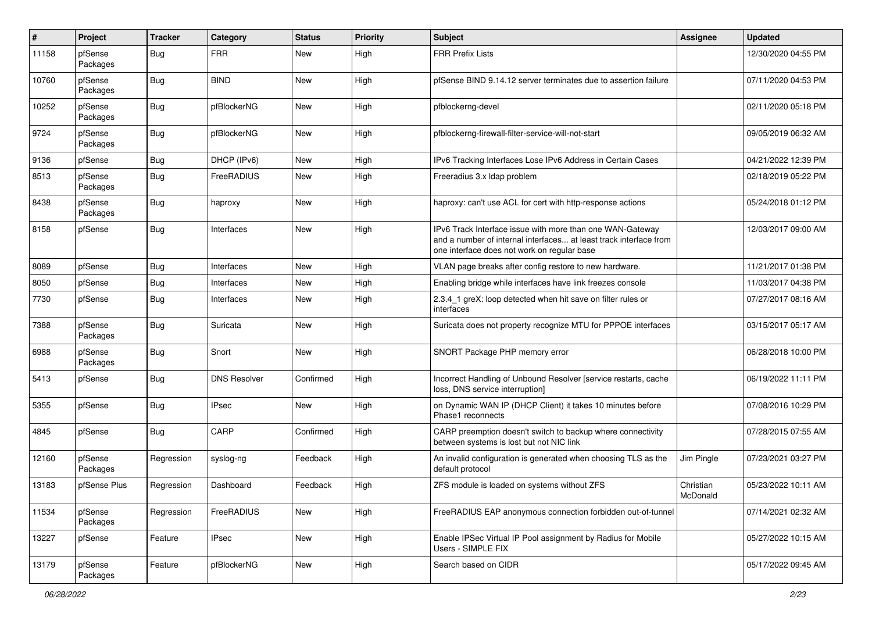| #     | Project             | Tracker    | Category            | <b>Status</b> | <b>Priority</b> | Subject                                                                                                                                                                       | Assignee              | <b>Updated</b>      |
|-------|---------------------|------------|---------------------|---------------|-----------------|-------------------------------------------------------------------------------------------------------------------------------------------------------------------------------|-----------------------|---------------------|
| 11158 | pfSense<br>Packages | <b>Bug</b> | <b>FRR</b>          | <b>New</b>    | High            | <b>FRR Prefix Lists</b>                                                                                                                                                       |                       | 12/30/2020 04:55 PM |
| 10760 | pfSense<br>Packages | Bug        | <b>BIND</b>         | <b>New</b>    | High            | pfSense BIND 9.14.12 server terminates due to assertion failure                                                                                                               |                       | 07/11/2020 04:53 PM |
| 10252 | pfSense<br>Packages | Bug        | pfBlockerNG         | New           | High            | pfblockerng-devel                                                                                                                                                             |                       | 02/11/2020 05:18 PM |
| 9724  | pfSense<br>Packages | Bug        | pfBlockerNG         | New           | High            | pfblockerng-firewall-filter-service-will-not-start                                                                                                                            |                       | 09/05/2019 06:32 AM |
| 9136  | pfSense             | Bug        | DHCP (IPv6)         | New           | High            | IPv6 Tracking Interfaces Lose IPv6 Address in Certain Cases                                                                                                                   |                       | 04/21/2022 12:39 PM |
| 8513  | pfSense<br>Packages | Bug        | FreeRADIUS          | <b>New</b>    | High            | Freeradius 3.x Idap problem                                                                                                                                                   |                       | 02/18/2019 05:22 PM |
| 8438  | pfSense<br>Packages | Bug        | haproxy             | <b>New</b>    | High            | haproxy: can't use ACL for cert with http-response actions                                                                                                                    |                       | 05/24/2018 01:12 PM |
| 8158  | pfSense             | Bug        | Interfaces          | <b>New</b>    | High            | IPv6 Track Interface issue with more than one WAN-Gateway<br>and a number of internal interfaces at least track interface from<br>one interface does not work on regular base |                       | 12/03/2017 09:00 AM |
| 8089  | pfSense             | Bug        | Interfaces          | <b>New</b>    | High            | VLAN page breaks after config restore to new hardware.                                                                                                                        |                       | 11/21/2017 01:38 PM |
| 8050  | pfSense             | Bug        | Interfaces          | New           | High            | Enabling bridge while interfaces have link freezes console                                                                                                                    |                       | 11/03/2017 04:38 PM |
| 7730  | pfSense             | Bug        | Interfaces          | New           | High            | 2.3.4_1 greX: loop detected when hit save on filter rules or<br>interfaces                                                                                                    |                       | 07/27/2017 08:16 AM |
| 7388  | pfSense<br>Packages | Bug        | Suricata            | <b>New</b>    | High            | Suricata does not property recognize MTU for PPPOE interfaces                                                                                                                 |                       | 03/15/2017 05:17 AM |
| 6988  | pfSense<br>Packages | Bug        | Snort               | <b>New</b>    | High            | SNORT Package PHP memory error                                                                                                                                                |                       | 06/28/2018 10:00 PM |
| 5413  | pfSense             | Bug        | <b>DNS Resolver</b> | Confirmed     | High            | Incorrect Handling of Unbound Resolver [service restarts, cache<br>loss, DNS service interruption]                                                                            |                       | 06/19/2022 11:11 PM |
| 5355  | pfSense             | Bug        | IPsec               | New           | High            | on Dynamic WAN IP (DHCP Client) it takes 10 minutes before<br>Phase1 reconnects                                                                                               |                       | 07/08/2016 10:29 PM |
| 4845  | pfSense             | Bug        | CARP                | Confirmed     | High            | CARP preemption doesn't switch to backup where connectivity<br>between systems is lost but not NIC link                                                                       |                       | 07/28/2015 07:55 AM |
| 12160 | pfSense<br>Packages | Regression | syslog-ng           | Feedback      | High            | An invalid configuration is generated when choosing TLS as the<br>default protocol                                                                                            | Jim Pingle            | 07/23/2021 03:27 PM |
| 13183 | pfSense Plus        | Regression | Dashboard           | Feedback      | High            | ZFS module is loaded on systems without ZFS                                                                                                                                   | Christian<br>McDonald | 05/23/2022 10:11 AM |
| 11534 | pfSense<br>Packages | Regression | FreeRADIUS          | New           | High            | FreeRADIUS EAP anonymous connection forbidden out-of-tunnel                                                                                                                   |                       | 07/14/2021 02:32 AM |
| 13227 | pfSense             | Feature    | <b>IPsec</b>        | New           | High            | Enable IPSec Virtual IP Pool assignment by Radius for Mobile<br>Users - SIMPLE FIX                                                                                            |                       | 05/27/2022 10:15 AM |
| 13179 | pfSense<br>Packages | Feature    | pfBlockerNG         | New           | High            | Search based on CIDR                                                                                                                                                          |                       | 05/17/2022 09:45 AM |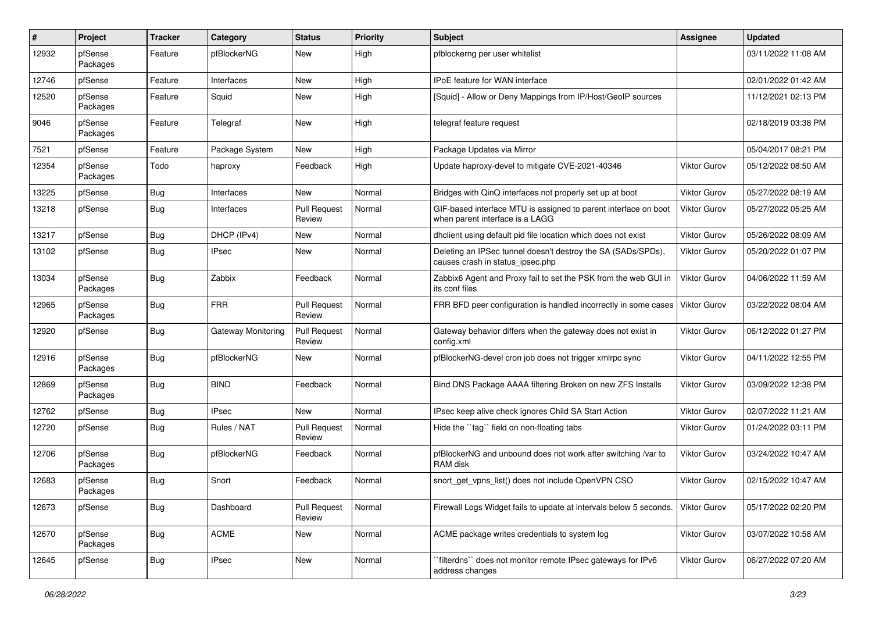| #     | Project             | <b>Tracker</b> | Category           | <b>Status</b>                 | <b>Priority</b> | <b>Subject</b>                                                                                     | <b>Assignee</b>     | <b>Updated</b>      |
|-------|---------------------|----------------|--------------------|-------------------------------|-----------------|----------------------------------------------------------------------------------------------------|---------------------|---------------------|
| 12932 | pfSense<br>Packages | Feature        | pfBlockerNG        | <b>New</b>                    | High            | pfblockerng per user whitelist                                                                     |                     | 03/11/2022 11:08 AM |
| 12746 | pfSense             | Feature        | Interfaces         | <b>New</b>                    | High            | <b>IPoE</b> feature for WAN interface                                                              |                     | 02/01/2022 01:42 AM |
| 12520 | pfSense<br>Packages | Feature        | Squid              | New                           | High            | [Squid] - Allow or Deny Mappings from IP/Host/GeoIP sources                                        |                     | 11/12/2021 02:13 PM |
| 9046  | pfSense<br>Packages | Feature        | Telegraf           | <b>New</b>                    | High            | telegraf feature request                                                                           |                     | 02/18/2019 03:38 PM |
| 7521  | pfSense             | Feature        | Package System     | <b>New</b>                    | High            | Package Updates via Mirror                                                                         |                     | 05/04/2017 08:21 PM |
| 12354 | pfSense<br>Packages | Todo           | haproxy            | Feedback                      | High            | Update haproxy-devel to mitigate CVE-2021-40346                                                    | Viktor Gurov        | 05/12/2022 08:50 AM |
| 13225 | pfSense             | Bug            | Interfaces         | <b>New</b>                    | Normal          | Bridges with QinQ interfaces not properly set up at boot                                           | <b>Viktor Gurov</b> | 05/27/2022 08:19 AM |
| 13218 | pfSense             | <b>Bug</b>     | Interfaces         | <b>Pull Request</b><br>Review | Normal          | GIF-based interface MTU is assigned to parent interface on boot<br>when parent interface is a LAGG | <b>Viktor Gurov</b> | 05/27/2022 05:25 AM |
| 13217 | pfSense             | Bug            | DHCP (IPv4)        | <b>New</b>                    | Normal          | dhclient using default pid file location which does not exist                                      | Viktor Gurov        | 05/26/2022 08:09 AM |
| 13102 | pfSense             | Bug            | <b>IPsec</b>       | New                           | Normal          | Deleting an IPSec tunnel doesn't destroy the SA (SADs/SPDs),<br>causes crash in status_ipsec.php   | <b>Viktor Gurov</b> | 05/20/2022 01:07 PM |
| 13034 | pfSense<br>Packages | Bug            | Zabbix             | Feedback                      | Normal          | Zabbix6 Agent and Proxy fail to set the PSK from the web GUI in<br>its conf files                  | <b>Viktor Gurov</b> | 04/06/2022 11:59 AM |
| 12965 | pfSense<br>Packages | Bug            | <b>FRR</b>         | <b>Pull Request</b><br>Review | Normal          | FRR BFD peer configuration is handled incorrectly in some cases                                    | Viktor Gurov        | 03/22/2022 08:04 AM |
| 12920 | pfSense             | Bug            | Gateway Monitoring | <b>Pull Request</b><br>Review | Normal          | Gateway behavior differs when the gateway does not exist in<br>config.xml                          | <b>Viktor Gurov</b> | 06/12/2022 01:27 PM |
| 12916 | pfSense<br>Packages | Bug            | pfBlockerNG        | <b>New</b>                    | Normal          | pfBlockerNG-devel cron job does not trigger xmlrpc sync                                            | <b>Viktor Gurov</b> | 04/11/2022 12:55 PM |
| 12869 | pfSense<br>Packages | <b>Bug</b>     | <b>BIND</b>        | Feedback                      | Normal          | Bind DNS Package AAAA filtering Broken on new ZFS Installs                                         | Viktor Gurov        | 03/09/2022 12:38 PM |
| 12762 | pfSense             | <b>Bug</b>     | <b>IPsec</b>       | <b>New</b>                    | Normal          | IPsec keep alive check ignores Child SA Start Action                                               | Viktor Gurov        | 02/07/2022 11:21 AM |
| 12720 | pfSense             | Bug            | Rules / NAT        | <b>Pull Request</b><br>Review | Normal          | Hide the "tag" field on non-floating tabs                                                          | <b>Viktor Gurov</b> | 01/24/2022 03:11 PM |
| 12706 | pfSense<br>Packages | <b>Bug</b>     | pfBlockerNG        | Feedback                      | Normal          | pfBlockerNG and unbound does not work after switching /var to<br>RAM disk                          | Viktor Gurov        | 03/24/2022 10:47 AM |
| 12683 | pfSense<br>Packages | <b>Bug</b>     | Snort              | Feedback                      | Normal          | snort_get_vpns_list() does not include OpenVPN CSO                                                 | <b>Viktor Gurov</b> | 02/15/2022 10:47 AM |
| 12673 | pfSense             | Bug            | Dashboard          | <b>Pull Request</b><br>Review | Normal          | Firewall Logs Widget fails to update at intervals below 5 seconds.                                 | Viktor Gurov        | 05/17/2022 02:20 PM |
| 12670 | pfSense<br>Packages | Bug            | <b>ACME</b>        | New                           | Normal          | ACME package writes credentials to system log                                                      | Viktor Gurov        | 03/07/2022 10:58 AM |
| 12645 | pfSense             | Bug            | <b>IPsec</b>       | New                           | Normal          | `filterdns`` does not monitor remote IPsec gateways for IPv6<br>address changes                    | Viktor Gurov        | 06/27/2022 07:20 AM |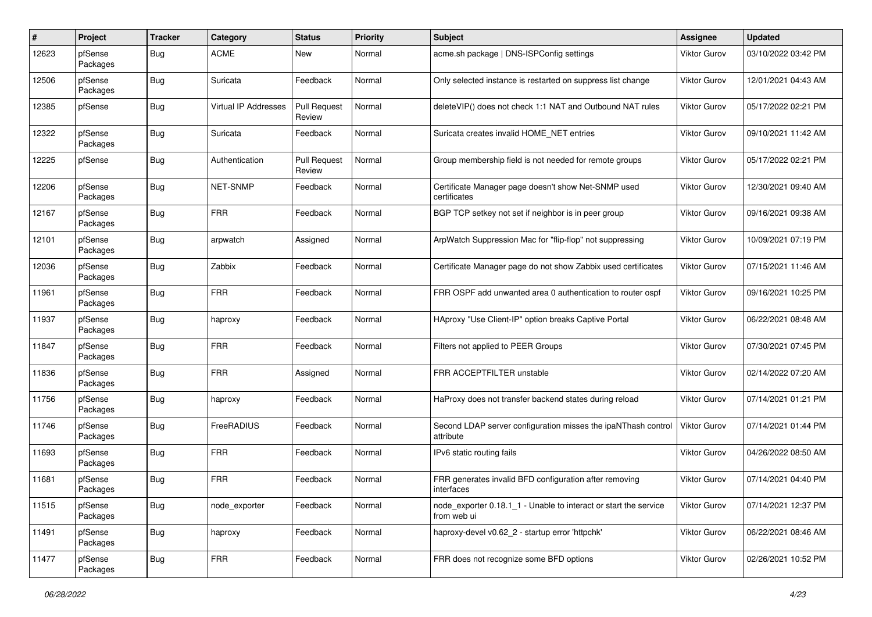| #     | Project             | <b>Tracker</b> | Category             | <b>Status</b>                 | <b>Priority</b> | <b>Subject</b>                                                                  | <b>Assignee</b>     | <b>Updated</b>      |
|-------|---------------------|----------------|----------------------|-------------------------------|-----------------|---------------------------------------------------------------------------------|---------------------|---------------------|
| 12623 | pfSense<br>Packages | <b>Bug</b>     | <b>ACME</b>          | New                           | Normal          | acme.sh package   DNS-ISPConfig settings                                        | <b>Viktor Gurov</b> | 03/10/2022 03:42 PM |
| 12506 | pfSense<br>Packages | Bug            | Suricata             | Feedback                      | Normal          | Only selected instance is restarted on suppress list change                     | <b>Viktor Gurov</b> | 12/01/2021 04:43 AM |
| 12385 | pfSense             | <b>Bug</b>     | Virtual IP Addresses | <b>Pull Request</b><br>Review | Normal          | deleteVIP() does not check 1:1 NAT and Outbound NAT rules                       | Viktor Gurov        | 05/17/2022 02:21 PM |
| 12322 | pfSense<br>Packages | Bug            | Suricata             | Feedback                      | Normal          | Suricata creates invalid HOME NET entries                                       | Viktor Gurov        | 09/10/2021 11:42 AM |
| 12225 | pfSense             | Bug            | Authentication       | <b>Pull Request</b><br>Review | Normal          | Group membership field is not needed for remote groups                          | Viktor Gurov        | 05/17/2022 02:21 PM |
| 12206 | pfSense<br>Packages | Bug            | NET-SNMP             | Feedback                      | Normal          | Certificate Manager page doesn't show Net-SNMP used<br>certificates             | Viktor Gurov        | 12/30/2021 09:40 AM |
| 12167 | pfSense<br>Packages | Bug            | <b>FRR</b>           | Feedback                      | Normal          | BGP TCP setkey not set if neighbor is in peer group                             | <b>Viktor Gurov</b> | 09/16/2021 09:38 AM |
| 12101 | pfSense<br>Packages | <b>Bug</b>     | arpwatch             | Assigned                      | Normal          | ArpWatch Suppression Mac for "flip-flop" not suppressing                        | <b>Viktor Gurov</b> | 10/09/2021 07:19 PM |
| 12036 | pfSense<br>Packages | Bug            | Zabbix               | Feedback                      | Normal          | Certificate Manager page do not show Zabbix used certificates                   | Viktor Gurov        | 07/15/2021 11:46 AM |
| 11961 | pfSense<br>Packages | <b>Bug</b>     | <b>FRR</b>           | Feedback                      | Normal          | FRR OSPF add unwanted area 0 authentication to router ospf                      | Viktor Gurov        | 09/16/2021 10:25 PM |
| 11937 | pfSense<br>Packages | <b>Bug</b>     | haproxy              | Feedback                      | Normal          | HAproxy "Use Client-IP" option breaks Captive Portal                            | <b>Viktor Gurov</b> | 06/22/2021 08:48 AM |
| 11847 | pfSense<br>Packages | Bug            | <b>FRR</b>           | Feedback                      | Normal          | Filters not applied to PEER Groups                                              | Viktor Gurov        | 07/30/2021 07:45 PM |
| 11836 | pfSense<br>Packages | <b>Bug</b>     | <b>FRR</b>           | Assigned                      | Normal          | FRR ACCEPTFILTER unstable                                                       | Viktor Gurov        | 02/14/2022 07:20 AM |
| 11756 | pfSense<br>Packages | Bug            | haproxy              | Feedback                      | Normal          | HaProxy does not transfer backend states during reload                          | <b>Viktor Gurov</b> | 07/14/2021 01:21 PM |
| 11746 | pfSense<br>Packages | <b>Bug</b>     | FreeRADIUS           | Feedback                      | Normal          | Second LDAP server configuration misses the ipaNThash control<br>attribute      | Viktor Gurov        | 07/14/2021 01:44 PM |
| 11693 | pfSense<br>Packages | Bug            | <b>FRR</b>           | Feedback                      | Normal          | IPv6 static routing fails                                                       | Viktor Gurov        | 04/26/2022 08:50 AM |
| 11681 | pfSense<br>Packages | Bug            | <b>FRR</b>           | Feedback                      | Normal          | FRR generates invalid BFD configuration after removing<br>interfaces            | Viktor Gurov        | 07/14/2021 04:40 PM |
| 11515 | pfSense<br>Packages | <b>Bug</b>     | node exporter        | Feedback                      | Normal          | node exporter 0.18.1 1 - Unable to interact or start the service<br>from web ui | Viktor Gurov        | 07/14/2021 12:37 PM |
| 11491 | pfSense<br>Packages | <b>Bug</b>     | haproxy              | Feedback                      | Normal          | haproxy-devel v0.62 2 - startup error 'httpchk'                                 | Viktor Gurov        | 06/22/2021 08:46 AM |
| 11477 | pfSense<br>Packages | <b>Bug</b>     | <b>FRR</b>           | Feedback                      | Normal          | FRR does not recognize some BFD options                                         | Viktor Gurov        | 02/26/2021 10:52 PM |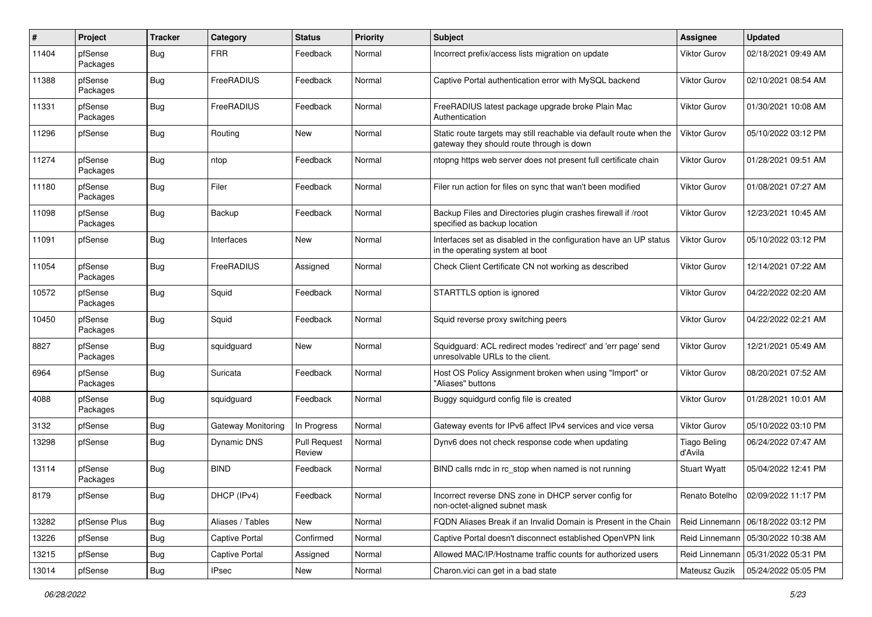| #     | Project             | <b>Tracker</b> | Category              | <b>Status</b>                 | <b>Priority</b> | Subject                                                                                                          | Assignee                       | <b>Updated</b>                       |
|-------|---------------------|----------------|-----------------------|-------------------------------|-----------------|------------------------------------------------------------------------------------------------------------------|--------------------------------|--------------------------------------|
| 11404 | pfSense<br>Packages | <b>Bug</b>     | <b>FRR</b>            | Feedback                      | Normal          | Incorrect prefix/access lists migration on update                                                                | Viktor Gurov                   | 02/18/2021 09:49 AM                  |
| 11388 | pfSense<br>Packages | <b>Bug</b>     | FreeRADIUS            | Feedback                      | Normal          | Captive Portal authentication error with MySQL backend                                                           | Viktor Gurov                   | 02/10/2021 08:54 AM                  |
| 11331 | pfSense<br>Packages | <b>Bug</b>     | FreeRADIUS            | Feedback                      | Normal          | FreeRADIUS latest package upgrade broke Plain Mac<br>Authentication                                              | Viktor Gurov                   | 01/30/2021 10:08 AM                  |
| 11296 | pfSense             | Bug            | Routing               | New                           | Normal          | Static route targets may still reachable via default route when the<br>gateway they should route through is down | Viktor Gurov                   | 05/10/2022 03:12 PM                  |
| 11274 | pfSense<br>Packages | Bug            | ntop                  | Feedback                      | Normal          | ntopng https web server does not present full certificate chain                                                  | Viktor Gurov                   | 01/28/2021 09:51 AM                  |
| 11180 | pfSense<br>Packages | Bug            | Filer                 | Feedback                      | Normal          | Filer run action for files on sync that wan't been modified                                                      | Viktor Gurov                   | 01/08/2021 07:27 AM                  |
| 11098 | pfSense<br>Packages | <b>Bug</b>     | Backup                | Feedback                      | Normal          | Backup Files and Directories plugin crashes firewall if /root<br>specified as backup location                    | Viktor Gurov                   | 12/23/2021 10:45 AM                  |
| 11091 | pfSense             | Bug            | Interfaces            | New                           | Normal          | Interfaces set as disabled in the configuration have an UP status<br>in the operating system at boot             | <b>Viktor Gurov</b>            | 05/10/2022 03:12 PM                  |
| 11054 | pfSense<br>Packages | <b>Bug</b>     | FreeRADIUS            | Assigned                      | Normal          | Check Client Certificate CN not working as described                                                             | Viktor Gurov                   | 12/14/2021 07:22 AM                  |
| 10572 | pfSense<br>Packages | <b>Bug</b>     | Squid                 | Feedback                      | Normal          | STARTTLS option is ignored                                                                                       | Viktor Gurov                   | 04/22/2022 02:20 AM                  |
| 10450 | pfSense<br>Packages | Bug            | Squid                 | Feedback                      | Normal          | Squid reverse proxy switching peers                                                                              | Viktor Gurov                   | 04/22/2022 02:21 AM                  |
| 8827  | pfSense<br>Packages | Bug            | squidguard            | <b>New</b>                    | Normal          | Squidguard: ACL redirect modes 'redirect' and 'err page' send<br>unresolvable URLs to the client.                | Viktor Gurov                   | 12/21/2021 05:49 AM                  |
| 6964  | pfSense<br>Packages | Bug            | Suricata              | Feedback                      | Normal          | Host OS Policy Assignment broken when using "Import" or<br>"Aliases" buttons                                     | Viktor Gurov                   | 08/20/2021 07:52 AM                  |
| 4088  | pfSense<br>Packages | <b>Bug</b>     | squidguard            | Feedback                      | Normal          | Buggy squidgurd config file is created                                                                           | Viktor Gurov                   | 01/28/2021 10:01 AM                  |
| 3132  | pfSense             | <b>Bug</b>     | Gateway Monitoring    | In Progress                   | Normal          | Gateway events for IPv6 affect IPv4 services and vice versa                                                      | <b>Viktor Gurov</b>            | 05/10/2022 03:10 PM                  |
| 13298 | pfSense             | Bug            | <b>Dynamic DNS</b>    | <b>Pull Request</b><br>Review | Normal          | Dynv6 does not check response code when updating                                                                 | <b>Tiago Beling</b><br>d'Avila | 06/24/2022 07:47 AM                  |
| 13114 | pfSense<br>Packages | Bug            | <b>BIND</b>           | Feedback                      | Normal          | BIND calls rndc in rc_stop when named is not running                                                             | <b>Stuart Wyatt</b>            | 05/04/2022 12:41 PM                  |
| 8179  | pfSense             | <b>Bug</b>     | DHCP (IPv4)           | Feedback                      | Normal          | Incorrect reverse DNS zone in DHCP server config for<br>non-octet-aligned subnet mask                            |                                | Renato Botelho   02/09/2022 11:17 PM |
| 13282 | pfSense Plus        | Bug            | Aliases / Tables      | New                           | Normal          | FQDN Aliases Break if an Invalid Domain is Present in the Chain                                                  | Reid Linnemann                 | 06/18/2022 03:12 PM                  |
| 13226 | pfSense             | <b>Bug</b>     | Captive Portal        | Confirmed                     | Normal          | Captive Portal doesn't disconnect established OpenVPN link                                                       | Reid Linnemann                 | 05/30/2022 10:38 AM                  |
| 13215 | pfSense             | <b>Bug</b>     | <b>Captive Portal</b> | Assigned                      | Normal          | Allowed MAC/IP/Hostname traffic counts for authorized users                                                      | Reid Linnemann                 | 05/31/2022 05:31 PM                  |
| 13014 | pfSense             | Bug            | <b>IPsec</b>          | New                           | Normal          | Charon.vici can get in a bad state                                                                               | Mateusz Guzik                  | 05/24/2022 05:05 PM                  |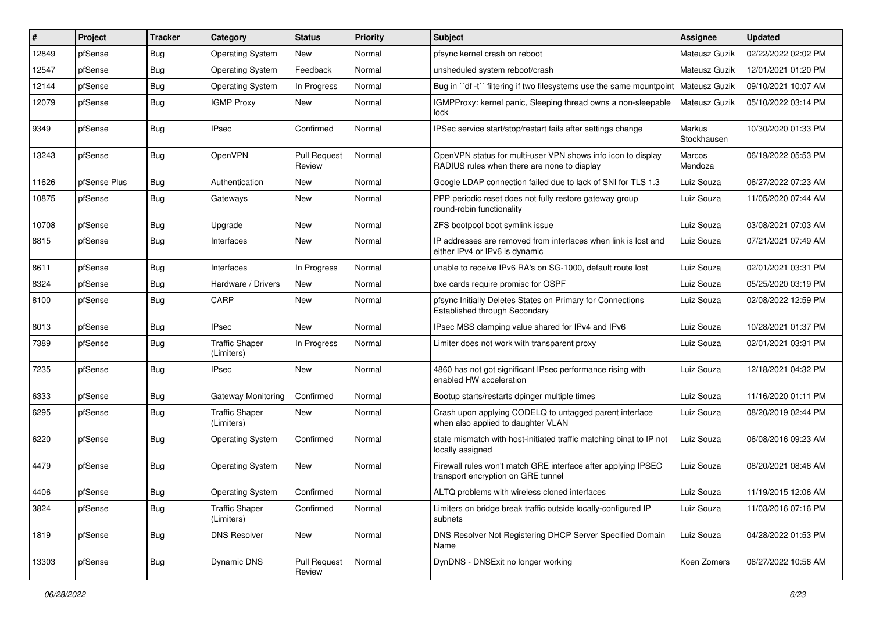| #     | Project      | <b>Tracker</b> | Category                            | <b>Status</b>                 | <b>Priority</b> | <b>Subject</b>                                                                                              | <b>Assignee</b>       | <b>Updated</b>      |
|-------|--------------|----------------|-------------------------------------|-------------------------------|-----------------|-------------------------------------------------------------------------------------------------------------|-----------------------|---------------------|
| 12849 | pfSense      | Bug            | <b>Operating System</b>             | New                           | Normal          | pfsync kernel crash on reboot                                                                               | Mateusz Guzik         | 02/22/2022 02:02 PM |
| 12547 | pfSense      | Bug            | <b>Operating System</b>             | Feedback                      | Normal          | unsheduled system reboot/crash                                                                              | Mateusz Guzik         | 12/01/2021 01:20 PM |
| 12144 | pfSense      | <b>Bug</b>     | <b>Operating System</b>             | In Progress                   | Normal          | Bug in "df -t" filtering if two filesystems use the same mountpoint                                         | Mateusz Guzik         | 09/10/2021 10:07 AM |
| 12079 | pfSense      | Bug            | <b>IGMP Proxy</b>                   | New                           | Normal          | IGMPProxy: kernel panic, Sleeping thread owns a non-sleepable<br>lock                                       | Mateusz Guzik         | 05/10/2022 03:14 PM |
| 9349  | pfSense      | Bug            | <b>IPsec</b>                        | Confirmed                     | Normal          | IPSec service start/stop/restart fails after settings change                                                | Markus<br>Stockhausen | 10/30/2020 01:33 PM |
| 13243 | pfSense      | Bug            | OpenVPN                             | <b>Pull Request</b><br>Review | Normal          | OpenVPN status for multi-user VPN shows info icon to display<br>RADIUS rules when there are none to display | Marcos<br>Mendoza     | 06/19/2022 05:53 PM |
| 11626 | pfSense Plus | Bug            | Authentication                      | New                           | Normal          | Google LDAP connection failed due to lack of SNI for TLS 1.3                                                | Luiz Souza            | 06/27/2022 07:23 AM |
| 10875 | pfSense      | Bug            | Gateways                            | New                           | Normal          | PPP periodic reset does not fully restore gateway group<br>round-robin functionality                        | Luiz Souza            | 11/05/2020 07:44 AM |
| 10708 | pfSense      | <b>Bug</b>     | Upgrade                             | New                           | Normal          | ZFS bootpool boot symlink issue                                                                             | Luiz Souza            | 03/08/2021 07:03 AM |
| 8815  | pfSense      | Bug            | Interfaces                          | New                           | Normal          | IP addresses are removed from interfaces when link is lost and<br>either IPv4 or IPv6 is dynamic            | Luiz Souza            | 07/21/2021 07:49 AM |
| 8611  | pfSense      | Bug            | Interfaces                          | In Progress                   | Normal          | unable to receive IPv6 RA's on SG-1000, default route lost                                                  | Luiz Souza            | 02/01/2021 03:31 PM |
| 8324  | pfSense      | <b>Bug</b>     | Hardware / Drivers                  | New                           | Normal          | bxe cards require promisc for OSPF                                                                          | Luiz Souza            | 05/25/2020 03:19 PM |
| 8100  | pfSense      | Bug            | CARP                                | <b>New</b>                    | Normal          | pfsync Initially Deletes States on Primary for Connections<br>Established through Secondary                 | Luiz Souza            | 02/08/2022 12:59 PM |
| 8013  | pfSense      | Bug            | <b>IPsec</b>                        | <b>New</b>                    | Normal          | IPsec MSS clamping value shared for IPv4 and IPv6                                                           | Luiz Souza            | 10/28/2021 01:37 PM |
| 7389  | pfSense      | <b>Bug</b>     | <b>Traffic Shaper</b><br>(Limiters) | In Progress                   | Normal          | Limiter does not work with transparent proxy                                                                | Luiz Souza            | 02/01/2021 03:31 PM |
| 7235  | pfSense      | Bug            | <b>IPsec</b>                        | <b>New</b>                    | Normal          | 4860 has not got significant IPsec performance rising with<br>enabled HW acceleration                       | Luiz Souza            | 12/18/2021 04:32 PM |
| 6333  | pfSense      | Bug            | Gateway Monitoring                  | Confirmed                     | Normal          | Bootup starts/restarts dpinger multiple times                                                               | Luiz Souza            | 11/16/2020 01:11 PM |
| 6295  | pfSense      | Bug            | <b>Traffic Shaper</b><br>(Limiters) | New                           | Normal          | Crash upon applying CODELQ to untagged parent interface<br>when also applied to daughter VLAN               | Luiz Souza            | 08/20/2019 02:44 PM |
| 6220  | pfSense      | Bug            | <b>Operating System</b>             | Confirmed                     | Normal          | state mismatch with host-initiated traffic matching binat to IP not<br>locally assigned                     | Luiz Souza            | 06/08/2016 09:23 AM |
| 4479  | pfSense      | Bug            | <b>Operating System</b>             | New                           | Normal          | Firewall rules won't match GRE interface after applying IPSEC<br>transport encryption on GRE tunnel         | Luiz Souza            | 08/20/2021 08:46 AM |
| 4406  | pfSense      | Bug            | <b>Operating System</b>             | Confirmed                     | Normal          | ALTQ problems with wireless cloned interfaces                                                               | Luiz Souza            | 11/19/2015 12:06 AM |
| 3824  | pfSense      | Bug            | <b>Traffic Shaper</b><br>(Limiters) | Confirmed                     | Normal          | Limiters on bridge break traffic outside locally-configured IP<br>subnets                                   | Luiz Souza            | 11/03/2016 07:16 PM |
| 1819  | pfSense      | Bug            | <b>DNS Resolver</b>                 | New                           | Normal          | DNS Resolver Not Registering DHCP Server Specified Domain<br>Name                                           | Luiz Souza            | 04/28/2022 01:53 PM |
| 13303 | pfSense      | <b>Bug</b>     | Dynamic DNS                         | <b>Pull Request</b><br>Review | Normal          | DynDNS - DNSExit no longer working                                                                          | Koen Zomers           | 06/27/2022 10:56 AM |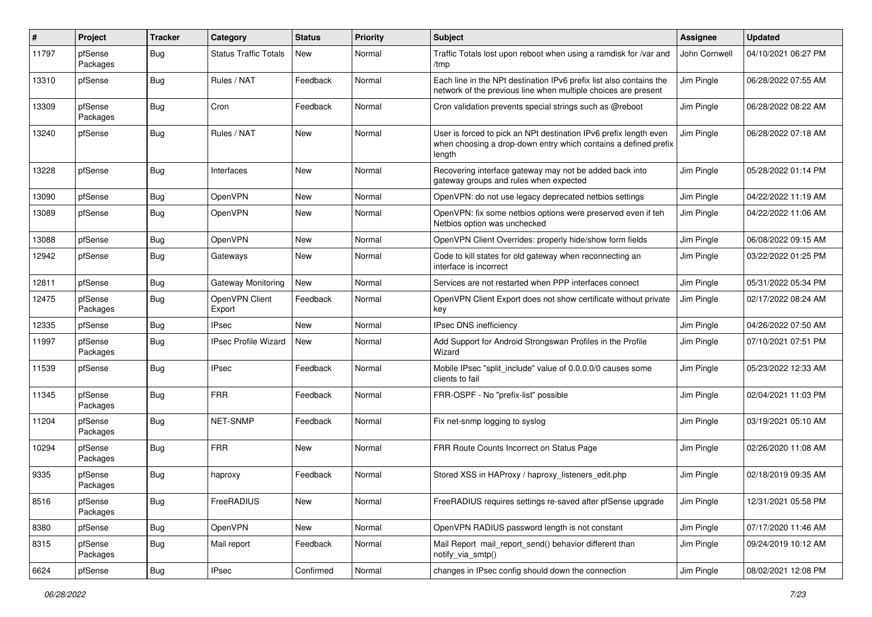| ∦     | Project             | <b>Tracker</b> | Category                     | <b>Status</b> | <b>Priority</b> | Subject                                                                                                                                        | <b>Assignee</b> | <b>Updated</b>      |
|-------|---------------------|----------------|------------------------------|---------------|-----------------|------------------------------------------------------------------------------------------------------------------------------------------------|-----------------|---------------------|
| 11797 | pfSense<br>Packages | Bug            | <b>Status Traffic Totals</b> | <b>New</b>    | Normal          | Traffic Totals lost upon reboot when using a ramdisk for /var and<br>/tmp                                                                      | John Cornwell   | 04/10/2021 06:27 PM |
| 13310 | pfSense             | Bug            | Rules / NAT                  | Feedback      | Normal          | Each line in the NPt destination IPv6 prefix list also contains the<br>network of the previous line when multiple choices are present          | Jim Pingle      | 06/28/2022 07:55 AM |
| 13309 | pfSense<br>Packages | Bug            | Cron                         | Feedback      | Normal          | Cron validation prevents special strings such as @reboot                                                                                       | Jim Pingle      | 06/28/2022 08:22 AM |
| 13240 | pfSense             | Bug            | Rules / NAT                  | New           | Normal          | User is forced to pick an NPt destination IPv6 prefix length even<br>when choosing a drop-down entry which contains a defined prefix<br>length | Jim Pingle      | 06/28/2022 07:18 AM |
| 13228 | pfSense             | Bug            | Interfaces                   | <b>New</b>    | Normal          | Recovering interface gateway may not be added back into<br>gateway groups and rules when expected                                              | Jim Pingle      | 05/28/2022 01:14 PM |
| 13090 | pfSense             | Bug            | <b>OpenVPN</b>               | <b>New</b>    | Normal          | OpenVPN: do not use legacy deprecated netbios settings                                                                                         | Jim Pingle      | 04/22/2022 11:19 AM |
| 13089 | pfSense             | Bug            | OpenVPN                      | <b>New</b>    | Normal          | OpenVPN: fix some netbios options were preserved even if teh<br>Netbios option was unchecked                                                   | Jim Pingle      | 04/22/2022 11:06 AM |
| 13088 | pfSense             | <b>Bug</b>     | OpenVPN                      | <b>New</b>    | Normal          | OpenVPN Client Overrides: properly hide/show form fields                                                                                       | Jim Pingle      | 06/08/2022 09:15 AM |
| 12942 | pfSense             | Bug            | Gateways                     | <b>New</b>    | Normal          | Code to kill states for old gateway when reconnecting an<br>interface is incorrect                                                             | Jim Pingle      | 03/22/2022 01:25 PM |
| 12811 | pfSense             | Bug            | Gateway Monitoring           | New           | Normal          | Services are not restarted when PPP interfaces connect                                                                                         | Jim Pingle      | 05/31/2022 05:34 PM |
| 12475 | pfSense<br>Packages | <b>Bug</b>     | OpenVPN Client<br>Export     | Feedback      | Normal          | OpenVPN Client Export does not show certificate without private<br>key                                                                         | Jim Pingle      | 02/17/2022 08:24 AM |
| 12335 | pfSense             | Bug            | IPsec                        | <b>New</b>    | Normal          | IPsec DNS inefficiency                                                                                                                         | Jim Pingle      | 04/26/2022 07:50 AM |
| 11997 | pfSense<br>Packages | Bug            | <b>IPsec Profile Wizard</b>  | New           | Normal          | Add Support for Android Strongswan Profiles in the Profile<br>Wizard                                                                           | Jim Pingle      | 07/10/2021 07:51 PM |
| 11539 | pfSense             | Bug            | <b>IPsec</b>                 | Feedback      | Normal          | Mobile IPsec "split include" value of 0.0.0.0/0 causes some<br>clients to fail                                                                 | Jim Pingle      | 05/23/2022 12:33 AM |
| 11345 | pfSense<br>Packages | Bug            | <b>FRR</b>                   | Feedback      | Normal          | FRR-OSPF - No "prefix-list" possible                                                                                                           | Jim Pingle      | 02/04/2021 11:03 PM |
| 11204 | pfSense<br>Packages | Bug            | <b>NET-SNMP</b>              | Feedback      | Normal          | Fix net-snmp logging to syslog                                                                                                                 | Jim Pingle      | 03/19/2021 05:10 AM |
| 10294 | pfSense<br>Packages | <b>Bug</b>     | <b>FRR</b>                   | <b>New</b>    | Normal          | FRR Route Counts Incorrect on Status Page                                                                                                      | Jim Pingle      | 02/26/2020 11:08 AM |
| 9335  | pfSense<br>Packages | Bug            | haproxy                      | Feedback      | Normal          | Stored XSS in HAProxy / haproxy listeners edit.php                                                                                             | Jim Pingle      | 02/18/2019 09:35 AM |
| 8516  | pfSense<br>Packages | <b>Bug</b>     | FreeRADIUS                   | New           | Normal          | FreeRADIUS requires settings re-saved after pfSense upgrade                                                                                    | Jim Pingle      | 12/31/2021 05:58 PM |
| 8380  | pfSense             | Bug            | <b>OpenVPN</b>               | New           | Normal          | OpenVPN RADIUS password length is not constant                                                                                                 | Jim Pingle      | 07/17/2020 11:46 AM |
| 8315  | pfSense<br>Packages | <b>Bug</b>     | Mail report                  | Feedback      | Normal          | Mail Report mail report send() behavior different than<br>notify_via_smtp()                                                                    | Jim Pingle      | 09/24/2019 10:12 AM |
| 6624  | pfSense             | <b>Bug</b>     | <b>IPsec</b>                 | Confirmed     | Normal          | changes in IPsec config should down the connection                                                                                             | Jim Pingle      | 08/02/2021 12:08 PM |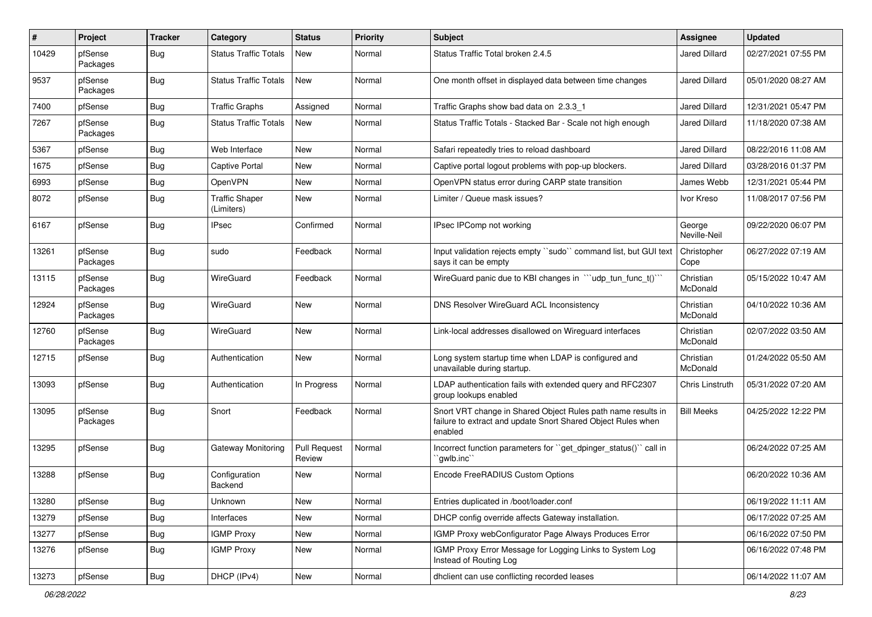| #     | Project             | <b>Tracker</b> | Category                            | <b>Status</b>                 | <b>Priority</b> | <b>Subject</b>                                                                                                                          | <b>Assignee</b>        | <b>Updated</b>      |
|-------|---------------------|----------------|-------------------------------------|-------------------------------|-----------------|-----------------------------------------------------------------------------------------------------------------------------------------|------------------------|---------------------|
| 10429 | pfSense<br>Packages | Bug            | <b>Status Traffic Totals</b>        | <b>New</b>                    | Normal          | Status Traffic Total broken 2.4.5                                                                                                       | Jared Dillard          | 02/27/2021 07:55 PM |
| 9537  | pfSense<br>Packages | Bug            | <b>Status Traffic Totals</b>        | <b>New</b>                    | Normal          | One month offset in displayed data between time changes                                                                                 | Jared Dillard          | 05/01/2020 08:27 AM |
| 7400  | pfSense             | Bug            | <b>Traffic Graphs</b>               | Assigned                      | Normal          | Traffic Graphs show bad data on 2.3.3 1                                                                                                 | <b>Jared Dillard</b>   | 12/31/2021 05:47 PM |
| 7267  | pfSense<br>Packages | Bug            | <b>Status Traffic Totals</b>        | <b>New</b>                    | Normal          | Status Traffic Totals - Stacked Bar - Scale not high enough                                                                             | Jared Dillard          | 11/18/2020 07:38 AM |
| 5367  | pfSense             | <b>Bug</b>     | Web Interface                       | <b>New</b>                    | Normal          | Safari repeatedly tries to reload dashboard                                                                                             | <b>Jared Dillard</b>   | 08/22/2016 11:08 AM |
| 1675  | pfSense             | <b>Bug</b>     | <b>Captive Portal</b>               | New                           | Normal          | Captive portal logout problems with pop-up blockers.                                                                                    | <b>Jared Dillard</b>   | 03/28/2016 01:37 PM |
| 6993  | pfSense             | Bug            | OpenVPN                             | <b>New</b>                    | Normal          | OpenVPN status error during CARP state transition                                                                                       | James Webb             | 12/31/2021 05:44 PM |
| 8072  | pfSense             | Bug            | <b>Traffic Shaper</b><br>(Limiters) | <b>New</b>                    | Normal          | Limiter / Queue mask issues?                                                                                                            | Ivor Kreso             | 11/08/2017 07:56 PM |
| 6167  | pfSense             | Bug            | <b>IPsec</b>                        | Confirmed                     | Normal          | IPsec IPComp not working                                                                                                                | George<br>Neville-Neil | 09/22/2020 06:07 PM |
| 13261 | pfSense<br>Packages | Bug            | sudo                                | Feedback                      | Normal          | Input validation rejects empty "sudo" command list, but GUI text<br>says it can be empty                                                | Christopher<br>Cope    | 06/27/2022 07:19 AM |
| 13115 | pfSense<br>Packages | Bug            | WireGuard                           | Feedback                      | Normal          | WireGuard panic due to KBI changes in "'udp tun func t()"                                                                               | Christian<br>McDonald  | 05/15/2022 10:47 AM |
| 12924 | pfSense<br>Packages | Bug            | WireGuard                           | New                           | Normal          | DNS Resolver WireGuard ACL Inconsistency                                                                                                | Christian<br>McDonald  | 04/10/2022 10:36 AM |
| 12760 | pfSense<br>Packages | Bug            | WireGuard                           | <b>New</b>                    | Normal          | Link-local addresses disallowed on Wireguard interfaces                                                                                 | Christian<br>McDonald  | 02/07/2022 03:50 AM |
| 12715 | pfSense             | <b>Bug</b>     | Authentication                      | <b>New</b>                    | Normal          | Long system startup time when LDAP is configured and<br>unavailable during startup.                                                     | Christian<br>McDonald  | 01/24/2022 05:50 AM |
| 13093 | pfSense             | Bug            | Authentication                      | In Progress                   | Normal          | LDAP authentication fails with extended query and RFC2307<br>group lookups enabled                                                      | Chris Linstruth        | 05/31/2022 07:20 AM |
| 13095 | pfSense<br>Packages | <b>Bug</b>     | Snort                               | Feedback                      | Normal          | Snort VRT change in Shared Object Rules path name results in<br>failure to extract and update Snort Shared Object Rules when<br>enabled | <b>Bill Meeks</b>      | 04/25/2022 12:22 PM |
| 13295 | pfSense             | <b>Bug</b>     | Gateway Monitoring                  | <b>Pull Request</b><br>Review | Normal          | Incorrect function parameters for "get_dpinger_status()" call in<br>`qwlb.inc``                                                         |                        | 06/24/2022 07:25 AM |
| 13288 | pfSense             | Bug            | Configuration<br>Backend            | <b>New</b>                    | Normal          | Encode FreeRADIUS Custom Options                                                                                                        |                        | 06/20/2022 10:36 AM |
| 13280 | pfSense             | <b>Bug</b>     | Unknown                             | New                           | Normal          | Entries duplicated in /boot/loader.conf                                                                                                 |                        | 06/19/2022 11:11 AM |
| 13279 | pfSense             | <b>Bug</b>     | Interfaces                          | New                           | Normal          | DHCP config override affects Gateway installation.                                                                                      |                        | 06/17/2022 07:25 AM |
| 13277 | pfSense             | <b>Bug</b>     | <b>IGMP Proxy</b>                   | New                           | Normal          | IGMP Proxy webConfigurator Page Always Produces Error                                                                                   |                        | 06/16/2022 07:50 PM |
| 13276 | pfSense             | <b>Bug</b>     | <b>IGMP Proxy</b>                   | New                           | Normal          | IGMP Proxy Error Message for Logging Links to System Log<br>Instead of Routing Log                                                      |                        | 06/16/2022 07:48 PM |
| 13273 | pfSense             | Bug            | DHCP (IPv4)                         | New                           | Normal          | dhclient can use conflicting recorded leases                                                                                            |                        | 06/14/2022 11:07 AM |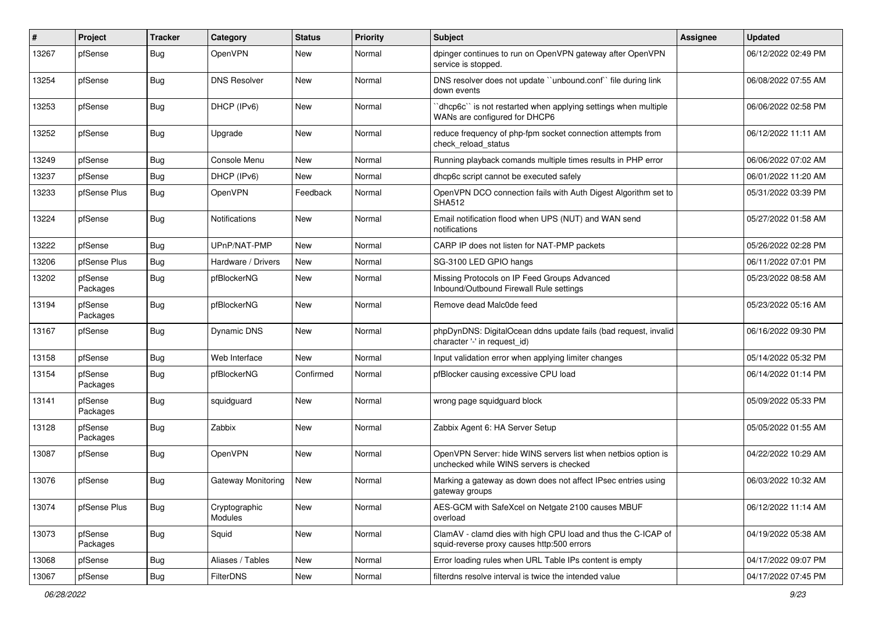| ∦     | Project             | <b>Tracker</b> | Category                 | <b>Status</b> | <b>Priority</b> | <b>Subject</b>                                                                                              | <b>Assignee</b> | <b>Updated</b>      |
|-------|---------------------|----------------|--------------------------|---------------|-----------------|-------------------------------------------------------------------------------------------------------------|-----------------|---------------------|
| 13267 | pfSense             | Bug            | OpenVPN                  | New           | Normal          | dpinger continues to run on OpenVPN gateway after OpenVPN<br>service is stopped.                            |                 | 06/12/2022 02:49 PM |
| 13254 | pfSense             | Bug            | <b>DNS Resolver</b>      | New           | Normal          | DNS resolver does not update "unbound.conf" file during link<br>down events                                 |                 | 06/08/2022 07:55 AM |
| 13253 | pfSense             | Bug            | DHCP (IPv6)              | New           | Normal          | dhcp6c" is not restarted when applying settings when multiple<br>WANs are configured for DHCP6              |                 | 06/06/2022 02:58 PM |
| 13252 | pfSense             | Bug            | Upgrade                  | New           | Normal          | reduce frequency of php-fpm socket connection attempts from<br>check reload status                          |                 | 06/12/2022 11:11 AM |
| 13249 | pfSense             | Bug            | Console Menu             | <b>New</b>    | Normal          | Running playback comands multiple times results in PHP error                                                |                 | 06/06/2022 07:02 AM |
| 13237 | pfSense             | Bug            | DHCP (IPv6)              | New           | Normal          | dhcp6c script cannot be executed safely                                                                     |                 | 06/01/2022 11:20 AM |
| 13233 | pfSense Plus        | Bug            | OpenVPN                  | Feedback      | Normal          | OpenVPN DCO connection fails with Auth Digest Algorithm set to<br><b>SHA512</b>                             |                 | 05/31/2022 03:39 PM |
| 13224 | pfSense             | Bug            | Notifications            | <b>New</b>    | Normal          | Email notification flood when UPS (NUT) and WAN send<br>notifications                                       |                 | 05/27/2022 01:58 AM |
| 13222 | pfSense             | Bug            | UPnP/NAT-PMP             | <b>New</b>    | Normal          | CARP IP does not listen for NAT-PMP packets                                                                 |                 | 05/26/2022 02:28 PM |
| 13206 | pfSense Plus        | Bug            | Hardware / Drivers       | <b>New</b>    | Normal          | SG-3100 LED GPIO hangs                                                                                      |                 | 06/11/2022 07:01 PM |
| 13202 | pfSense<br>Packages | Bug            | pfBlockerNG              | <b>New</b>    | Normal          | Missing Protocols on IP Feed Groups Advanced<br>Inbound/Outbound Firewall Rule settings                     |                 | 05/23/2022 08:58 AM |
| 13194 | pfSense<br>Packages | <b>Bug</b>     | pfBlockerNG              | <b>New</b>    | Normal          | Remove dead Malc0de feed                                                                                    |                 | 05/23/2022 05:16 AM |
| 13167 | pfSense             | Bug            | <b>Dynamic DNS</b>       | New           | Normal          | phpDynDNS: DigitalOcean ddns update fails (bad request, invalid<br>character '-' in request id)             |                 | 06/16/2022 09:30 PM |
| 13158 | pfSense             | Bug            | Web Interface            | <b>New</b>    | Normal          | Input validation error when applying limiter changes                                                        |                 | 05/14/2022 05:32 PM |
| 13154 | pfSense<br>Packages | Bug            | pfBlockerNG              | Confirmed     | Normal          | pfBlocker causing excessive CPU load                                                                        |                 | 06/14/2022 01:14 PM |
| 13141 | pfSense<br>Packages | Bug            | squidguard               | <b>New</b>    | Normal          | wrong page squidguard block                                                                                 |                 | 05/09/2022 05:33 PM |
| 13128 | pfSense<br>Packages | Bug            | Zabbix                   | <b>New</b>    | Normal          | Zabbix Agent 6: HA Server Setup                                                                             |                 | 05/05/2022 01:55 AM |
| 13087 | pfSense             | <b>Bug</b>     | OpenVPN                  | <b>New</b>    | Normal          | OpenVPN Server: hide WINS servers list when netbios option is<br>unchecked while WINS servers is checked    |                 | 04/22/2022 10:29 AM |
| 13076 | pfSense             | <b>Bug</b>     | Gateway Monitoring       | New           | Normal          | Marking a gateway as down does not affect IPsec entries using<br>gateway groups                             |                 | 06/03/2022 10:32 AM |
| 13074 | pfSense Plus        | Bug            | Cryptographic<br>Modules | New           | Normal          | AES-GCM with SafeXcel on Netgate 2100 causes MBUF<br>overload                                               |                 | 06/12/2022 11:14 AM |
| 13073 | pfSense<br>Packages | Bug            | Squid                    | New           | Normal          | ClamAV - clamd dies with high CPU load and thus the C-ICAP of<br>squid-reverse proxy causes http:500 errors |                 | 04/19/2022 05:38 AM |
| 13068 | pfSense             | <b>Bug</b>     | Aliases / Tables         | New           | Normal          | Error loading rules when URL Table IPs content is empty                                                     |                 | 04/17/2022 09:07 PM |
| 13067 | pfSense             | <b>Bug</b>     | <b>FilterDNS</b>         | New           | Normal          | filterdns resolve interval is twice the intended value                                                      |                 | 04/17/2022 07:45 PM |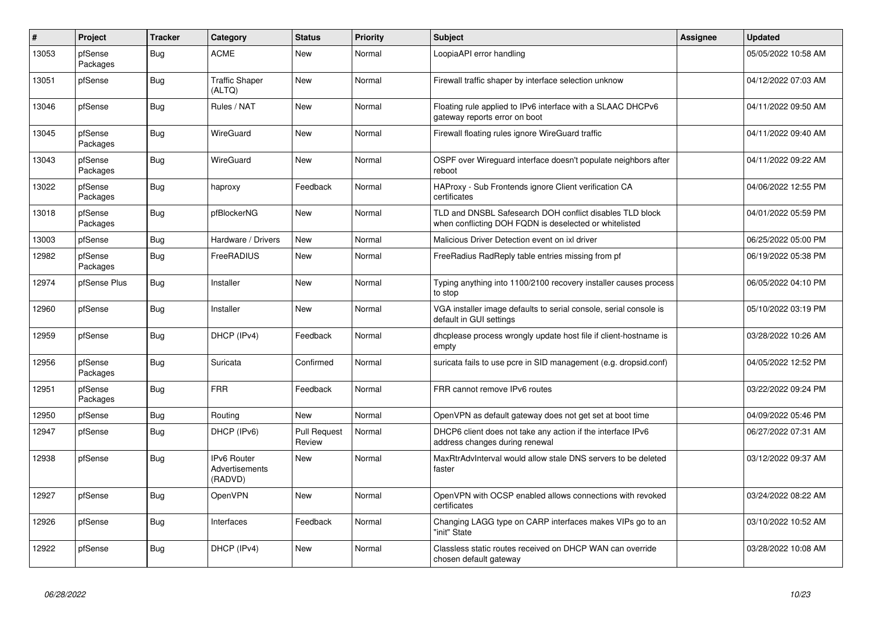| $\vert$ # | Project             | <b>Tracker</b> | Category                                        | <b>Status</b>          | <b>Priority</b> | <b>Subject</b>                                                                                                     | <b>Assignee</b> | <b>Updated</b>      |
|-----------|---------------------|----------------|-------------------------------------------------|------------------------|-----------------|--------------------------------------------------------------------------------------------------------------------|-----------------|---------------------|
| 13053     | pfSense<br>Packages | Bug            | <b>ACME</b>                                     | New                    | Normal          | LoopiaAPI error handling                                                                                           |                 | 05/05/2022 10:58 AM |
| 13051     | pfSense             | <b>Bug</b>     | <b>Traffic Shaper</b><br>(ALTQ)                 | New                    | Normal          | Firewall traffic shaper by interface selection unknow                                                              |                 | 04/12/2022 07:03 AM |
| 13046     | pfSense             | Bug            | Rules / NAT                                     | <b>New</b>             | Normal          | Floating rule applied to IPv6 interface with a SLAAC DHCPv6<br>gateway reports error on boot                       |                 | 04/11/2022 09:50 AM |
| 13045     | pfSense<br>Packages | <b>Bug</b>     | WireGuard                                       | <b>New</b>             | Normal          | Firewall floating rules ignore WireGuard traffic                                                                   |                 | 04/11/2022 09:40 AM |
| 13043     | pfSense<br>Packages | <b>Bug</b>     | WireGuard                                       | New                    | Normal          | OSPF over Wireguard interface doesn't populate neighbors after<br>reboot                                           |                 | 04/11/2022 09:22 AM |
| 13022     | pfSense<br>Packages | <b>Bug</b>     | haproxy                                         | Feedback               | Normal          | HAProxy - Sub Frontends ignore Client verification CA<br>certificates                                              |                 | 04/06/2022 12:55 PM |
| 13018     | pfSense<br>Packages | Bug            | pfBlockerNG                                     | New                    | Normal          | TLD and DNSBL Safesearch DOH conflict disables TLD block<br>when conflicting DOH FQDN is deselected or whitelisted |                 | 04/01/2022 05:59 PM |
| 13003     | pfSense             | Bug            | Hardware / Drivers                              | <b>New</b>             | Normal          | Malicious Driver Detection event on ixl driver                                                                     |                 | 06/25/2022 05:00 PM |
| 12982     | pfSense<br>Packages | Bug            | FreeRADIUS                                      | <b>New</b>             | Normal          | FreeRadius RadReply table entries missing from pf                                                                  |                 | 06/19/2022 05:38 PM |
| 12974     | pfSense Plus        | Bug            | Installer                                       | <b>New</b>             | Normal          | Typing anything into 1100/2100 recovery installer causes process<br>to stop                                        |                 | 06/05/2022 04:10 PM |
| 12960     | pfSense             | <b>Bug</b>     | Installer                                       | <b>New</b>             | Normal          | VGA installer image defaults to serial console, serial console is<br>default in GUI settings                       |                 | 05/10/2022 03:19 PM |
| 12959     | pfSense             | <b>Bug</b>     | DHCP (IPv4)                                     | Feedback               | Normal          | dhcplease process wrongly update host file if client-hostname is<br>empty                                          |                 | 03/28/2022 10:26 AM |
| 12956     | pfSense<br>Packages | Bug            | Suricata                                        | Confirmed              | Normal          | suricata fails to use pcre in SID management (e.g. dropsid.conf)                                                   |                 | 04/05/2022 12:52 PM |
| 12951     | pfSense<br>Packages | Bug            | <b>FRR</b>                                      | Feedback               | Normal          | FRR cannot remove IPv6 routes                                                                                      |                 | 03/22/2022 09:24 PM |
| 12950     | pfSense             | <b>Bug</b>     | Routing                                         | <b>New</b>             | Normal          | OpenVPN as default gateway does not get set at boot time                                                           |                 | 04/09/2022 05:46 PM |
| 12947     | pfSense             | Bug            | DHCP (IPv6)                                     | Pull Request<br>Review | Normal          | DHCP6 client does not take any action if the interface IPv6<br>address changes during renewal                      |                 | 06/27/2022 07:31 AM |
| 12938     | pfSense             | Bug            | <b>IPv6 Router</b><br>Advertisements<br>(RADVD) | <b>New</b>             | Normal          | MaxRtrAdvInterval would allow stale DNS servers to be deleted<br>faster                                            |                 | 03/12/2022 09:37 AM |
| 12927     | pfSense             | Bug            | OpenVPN                                         | <b>New</b>             | Normal          | OpenVPN with OCSP enabled allows connections with revoked<br>certificates                                          |                 | 03/24/2022 08:22 AM |
| 12926     | pfSense             | Bug            | Interfaces                                      | Feedback               | Normal          | Changing LAGG type on CARP interfaces makes VIPs go to an<br>"init" State                                          |                 | 03/10/2022 10:52 AM |
| 12922     | pfSense             | <b>Bug</b>     | DHCP (IPv4)                                     | <b>New</b>             | Normal          | Classless static routes received on DHCP WAN can override<br>chosen default gateway                                |                 | 03/28/2022 10:08 AM |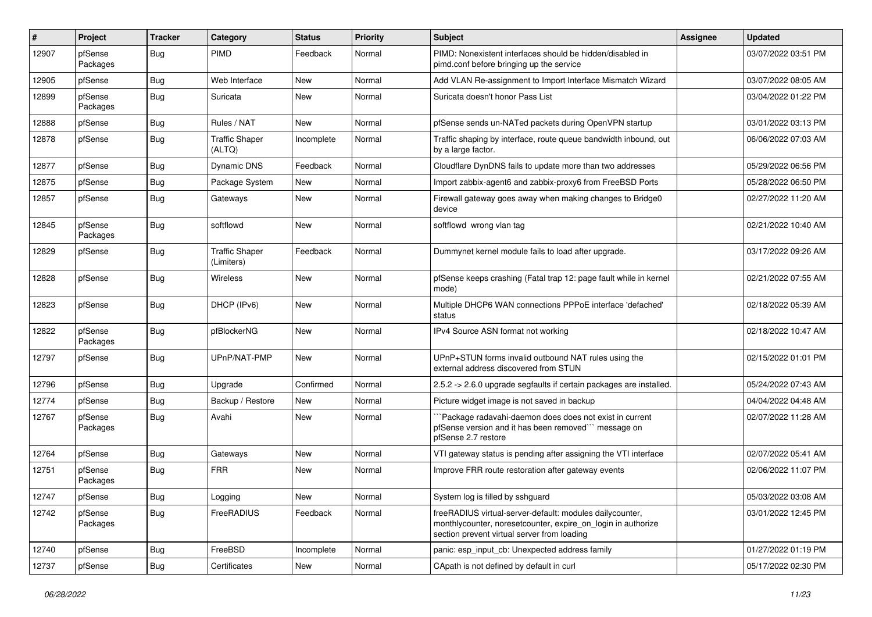| #     | Project             | <b>Tracker</b> | Category                            | <b>Status</b> | <b>Priority</b> | Subject                                                                                                                                                                 | <b>Assignee</b> | <b>Updated</b>      |
|-------|---------------------|----------------|-------------------------------------|---------------|-----------------|-------------------------------------------------------------------------------------------------------------------------------------------------------------------------|-----------------|---------------------|
| 12907 | pfSense<br>Packages | Bug            | <b>PIMD</b>                         | Feedback      | Normal          | PIMD: Nonexistent interfaces should be hidden/disabled in<br>pimd.conf before bringing up the service                                                                   |                 | 03/07/2022 03:51 PM |
| 12905 | pfSense             | <b>Bug</b>     | Web Interface                       | New           | Normal          | Add VLAN Re-assignment to Import Interface Mismatch Wizard                                                                                                              |                 | 03/07/2022 08:05 AM |
| 12899 | pfSense<br>Packages | Bug            | Suricata                            | <b>New</b>    | Normal          | Suricata doesn't honor Pass List                                                                                                                                        |                 | 03/04/2022 01:22 PM |
| 12888 | pfSense             | Bug            | Rules / NAT                         | New           | Normal          | pfSense sends un-NATed packets during OpenVPN startup                                                                                                                   |                 | 03/01/2022 03:13 PM |
| 12878 | pfSense             | <b>Bug</b>     | <b>Traffic Shaper</b><br>(ALTQ)     | Incomplete    | Normal          | Traffic shaping by interface, route queue bandwidth inbound, out<br>by a large factor.                                                                                  |                 | 06/06/2022 07:03 AM |
| 12877 | pfSense             | Bug            | <b>Dynamic DNS</b>                  | Feedback      | Normal          | Cloudflare DynDNS fails to update more than two addresses                                                                                                               |                 | 05/29/2022 06:56 PM |
| 12875 | pfSense             | <b>Bug</b>     | Package System                      | New           | Normal          | Import zabbix-agent6 and zabbix-proxy6 from FreeBSD Ports                                                                                                               |                 | 05/28/2022 06:50 PM |
| 12857 | pfSense             | <b>Bug</b>     | Gateways                            | New           | Normal          | Firewall gateway goes away when making changes to Bridge0<br>device                                                                                                     |                 | 02/27/2022 11:20 AM |
| 12845 | pfSense<br>Packages | <b>Bug</b>     | softflowd                           | <b>New</b>    | Normal          | softflowd wrong vlan tag                                                                                                                                                |                 | 02/21/2022 10:40 AM |
| 12829 | pfSense             | <b>Bug</b>     | <b>Traffic Shaper</b><br>(Limiters) | Feedback      | Normal          | Dummynet kernel module fails to load after upgrade.                                                                                                                     |                 | 03/17/2022 09:26 AM |
| 12828 | pfSense             | <b>Bug</b>     | Wireless                            | <b>New</b>    | Normal          | pfSense keeps crashing (Fatal trap 12: page fault while in kernel<br>mode)                                                                                              |                 | 02/21/2022 07:55 AM |
| 12823 | pfSense             | <b>Bug</b>     | DHCP (IPv6)                         | New           | Normal          | Multiple DHCP6 WAN connections PPPoE interface 'defached'<br>status                                                                                                     |                 | 02/18/2022 05:39 AM |
| 12822 | pfSense<br>Packages | Bug            | pfBlockerNG                         | New           | Normal          | IPv4 Source ASN format not working                                                                                                                                      |                 | 02/18/2022 10:47 AM |
| 12797 | pfSense             | Bug            | UPnP/NAT-PMP                        | New           | Normal          | UPnP+STUN forms invalid outbound NAT rules using the<br>external address discovered from STUN                                                                           |                 | 02/15/2022 01:01 PM |
| 12796 | pfSense             | Bug            | Upgrade                             | Confirmed     | Normal          | 2.5.2 -> 2.6.0 upgrade segfaults if certain packages are installed.                                                                                                     |                 | 05/24/2022 07:43 AM |
| 12774 | pfSense             | <b>Bug</b>     | Backup / Restore                    | New           | Normal          | Picture widget image is not saved in backup                                                                                                                             |                 | 04/04/2022 04:48 AM |
| 12767 | pfSense<br>Packages | <b>Bug</b>     | Avahi                               | New           | Normal          | Package radavahi-daemon does does not exist in current<br>pfSense version and it has been removed" message on<br>pfSense 2.7 restore                                    |                 | 02/07/2022 11:28 AM |
| 12764 | pfSense             | <b>Bug</b>     | Gateways                            | <b>New</b>    | Normal          | VTI gateway status is pending after assigning the VTI interface                                                                                                         |                 | 02/07/2022 05:41 AM |
| 12751 | pfSense<br>Packages | Bug            | <b>FRR</b>                          | New           | Normal          | Improve FRR route restoration after gateway events                                                                                                                      |                 | 02/06/2022 11:07 PM |
| 12747 | pfSense             | <b>Bug</b>     | Logging                             | New           | Normal          | System log is filled by sshguard                                                                                                                                        |                 | 05/03/2022 03:08 AM |
| 12742 | pfSense<br>Packages | <b>Bug</b>     | FreeRADIUS                          | Feedback      | Normal          | freeRADIUS virtual-server-default: modules dailycounter,<br>monthlycounter, noresetcounter, expire_on_login in authorize<br>section prevent virtual server from loading |                 | 03/01/2022 12:45 PM |
| 12740 | pfSense             | <b>Bug</b>     | FreeBSD                             | Incomplete    | Normal          | panic: esp_input_cb: Unexpected address family                                                                                                                          |                 | 01/27/2022 01:19 PM |
| 12737 | pfSense             | Bug            | Certificates                        | New           | Normal          | CApath is not defined by default in curl                                                                                                                                |                 | 05/17/2022 02:30 PM |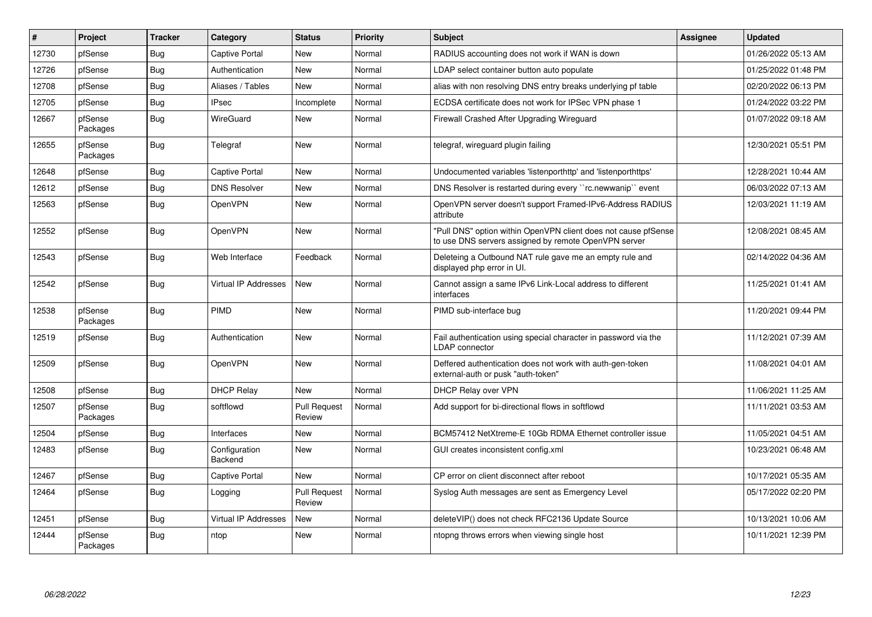| #     | Project             | <b>Tracker</b> | Category                    | <b>Status</b>                 | Priority | <b>Subject</b>                                                                                                         | <b>Assignee</b> | <b>Updated</b>      |
|-------|---------------------|----------------|-----------------------------|-------------------------------|----------|------------------------------------------------------------------------------------------------------------------------|-----------------|---------------------|
| 12730 | pfSense             | Bug            | Captive Portal              | New                           | Normal   | RADIUS accounting does not work if WAN is down                                                                         |                 | 01/26/2022 05:13 AM |
| 12726 | pfSense             | <b>Bug</b>     | Authentication              | New                           | Normal   | LDAP select container button auto populate                                                                             |                 | 01/25/2022 01:48 PM |
| 12708 | pfSense             | <b>Bug</b>     | Aliases / Tables            | New                           | Normal   | alias with non resolving DNS entry breaks underlying pf table                                                          |                 | 02/20/2022 06:13 PM |
| 12705 | pfSense             | Bug            | <b>IPsec</b>                | Incomplete                    | Normal   | ECDSA certificate does not work for IPSec VPN phase 1                                                                  |                 | 01/24/2022 03:22 PM |
| 12667 | pfSense<br>Packages | <b>Bug</b>     | WireGuard                   | <b>New</b>                    | Normal   | Firewall Crashed After Upgrading Wireguard                                                                             |                 | 01/07/2022 09:18 AM |
| 12655 | pfSense<br>Packages | <b>Bug</b>     | Telegraf                    | New                           | Normal   | telegraf, wireguard plugin failing                                                                                     |                 | 12/30/2021 05:51 PM |
| 12648 | pfSense             | <b>Bug</b>     | <b>Captive Portal</b>       | New                           | Normal   | Undocumented variables 'listenporthttp' and 'listenporthttps'                                                          |                 | 12/28/2021 10:44 AM |
| 12612 | pfSense             | <b>Bug</b>     | <b>DNS Resolver</b>         | New                           | Normal   | DNS Resolver is restarted during every "rc.newwanip" event                                                             |                 | 06/03/2022 07:13 AM |
| 12563 | pfSense             | <b>Bug</b>     | OpenVPN                     | New                           | Normal   | OpenVPN server doesn't support Framed-IPv6-Address RADIUS<br>attribute                                                 |                 | 12/03/2021 11:19 AM |
| 12552 | pfSense             | Bug            | OpenVPN                     | New                           | Normal   | "Pull DNS" option within OpenVPN client does not cause pfSense<br>to use DNS servers assigned by remote OpenVPN server |                 | 12/08/2021 08:45 AM |
| 12543 | pfSense             | Bug            | Web Interface               | Feedback                      | Normal   | Deleteing a Outbound NAT rule gave me an empty rule and<br>displayed php error in UI.                                  |                 | 02/14/2022 04:36 AM |
| 12542 | pfSense             | Bug            | <b>Virtual IP Addresses</b> | New                           | Normal   | Cannot assign a same IPv6 Link-Local address to different<br>interfaces                                                |                 | 11/25/2021 01:41 AM |
| 12538 | pfSense<br>Packages | Bug            | <b>PIMD</b>                 | New                           | Normal   | PIMD sub-interface bug                                                                                                 |                 | 11/20/2021 09:44 PM |
| 12519 | pfSense             | Bug            | Authentication              | <b>New</b>                    | Normal   | Fail authentication using special character in password via the<br><b>LDAP</b> connector                               |                 | 11/12/2021 07:39 AM |
| 12509 | pfSense             | Bug            | OpenVPN                     | New                           | Normal   | Deffered authentication does not work with auth-gen-token<br>external-auth or pusk "auth-token"                        |                 | 11/08/2021 04:01 AM |
| 12508 | pfSense             | <b>Bug</b>     | <b>DHCP Relay</b>           | New                           | Normal   | <b>DHCP Relay over VPN</b>                                                                                             |                 | 11/06/2021 11:25 AM |
| 12507 | pfSense<br>Packages | Bug            | softflowd                   | <b>Pull Request</b><br>Review | Normal   | Add support for bi-directional flows in softflowd                                                                      |                 | 11/11/2021 03:53 AM |
| 12504 | pfSense             | <b>Bug</b>     | Interfaces                  | <b>New</b>                    | Normal   | BCM57412 NetXtreme-E 10Gb RDMA Ethernet controller issue                                                               |                 | 11/05/2021 04:51 AM |
| 12483 | pfSense             | <b>Bug</b>     | Configuration<br>Backend    | New                           | Normal   | GUI creates inconsistent config.xml                                                                                    |                 | 10/23/2021 06:48 AM |
| 12467 | pfSense             | Bug            | Captive Portal              | New                           | Normal   | CP error on client disconnect after reboot                                                                             |                 | 10/17/2021 05:35 AM |
| 12464 | pfSense             | <b>Bug</b>     | Logging                     | <b>Pull Request</b><br>Review | Normal   | Syslog Auth messages are sent as Emergency Level                                                                       |                 | 05/17/2022 02:20 PM |
| 12451 | pfSense             | Bug            | Virtual IP Addresses        | <b>New</b>                    | Normal   | deleteVIP() does not check RFC2136 Update Source                                                                       |                 | 10/13/2021 10:06 AM |
| 12444 | pfSense<br>Packages | <b>Bug</b>     | ntop                        | New                           | Normal   | ntopng throws errors when viewing single host                                                                          |                 | 10/11/2021 12:39 PM |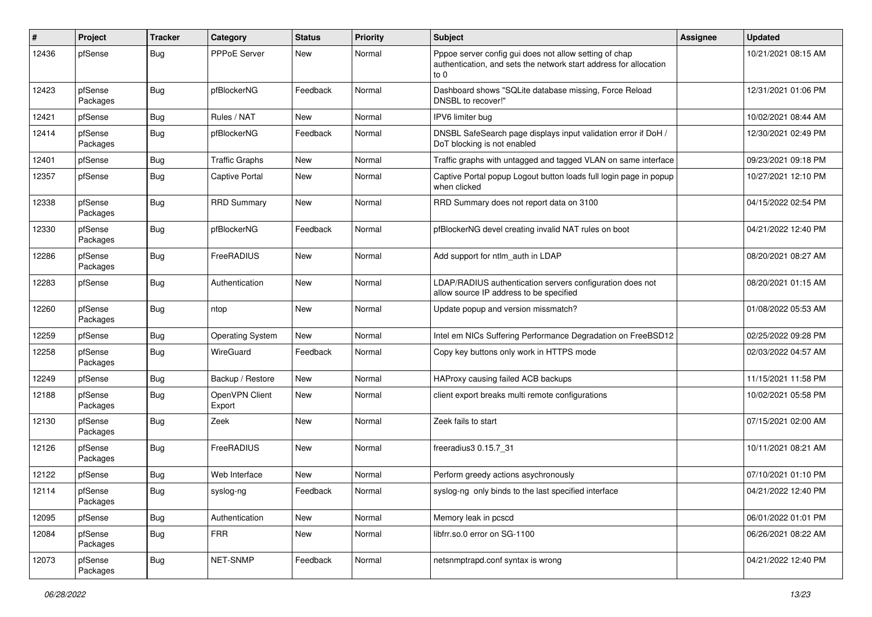| ∦     | Project             | <b>Tracker</b> | Category                 | <b>Status</b> | <b>Priority</b> | <b>Subject</b>                                                                                                                        | Assignee | <b>Updated</b>      |
|-------|---------------------|----------------|--------------------------|---------------|-----------------|---------------------------------------------------------------------------------------------------------------------------------------|----------|---------------------|
| 12436 | pfSense             | Bug            | <b>PPPoE Server</b>      | New           | Normal          | Pppoe server config gui does not allow setting of chap<br>authentication, and sets the network start address for allocation<br>to $0$ |          | 10/21/2021 08:15 AM |
| 12423 | pfSense<br>Packages | Bug            | pfBlockerNG              | Feedback      | Normal          | Dashboard shows "SQLite database missing, Force Reload<br>DNSBL to recover!"                                                          |          | 12/31/2021 01:06 PM |
| 12421 | pfSense             | Bug            | Rules / NAT              | <b>New</b>    | Normal          | IPV6 limiter bug                                                                                                                      |          | 10/02/2021 08:44 AM |
| 12414 | pfSense<br>Packages | Bug            | pfBlockerNG              | Feedback      | Normal          | DNSBL SafeSearch page displays input validation error if DoH /<br>DoT blocking is not enabled                                         |          | 12/30/2021 02:49 PM |
| 12401 | pfSense             | Bug            | <b>Traffic Graphs</b>    | New           | Normal          | Traffic graphs with untagged and tagged VLAN on same interface                                                                        |          | 09/23/2021 09:18 PM |
| 12357 | pfSense             | Bug            | <b>Captive Portal</b>    | <b>New</b>    | Normal          | Captive Portal popup Logout button loads full login page in popup<br>when clicked                                                     |          | 10/27/2021 12:10 PM |
| 12338 | pfSense<br>Packages | Bug            | <b>RRD Summary</b>       | <b>New</b>    | Normal          | RRD Summary does not report data on 3100                                                                                              |          | 04/15/2022 02:54 PM |
| 12330 | pfSense<br>Packages | Bug            | pfBlockerNG              | Feedback      | Normal          | pfBlockerNG devel creating invalid NAT rules on boot                                                                                  |          | 04/21/2022 12:40 PM |
| 12286 | pfSense<br>Packages | Bug            | FreeRADIUS               | New           | Normal          | Add support for ntlm auth in LDAP                                                                                                     |          | 08/20/2021 08:27 AM |
| 12283 | pfSense             | Bug            | Authentication           | New           | Normal          | LDAP/RADIUS authentication servers configuration does not<br>allow source IP address to be specified                                  |          | 08/20/2021 01:15 AM |
| 12260 | pfSense<br>Packages | Bug            | ntop                     | New           | Normal          | Update popup and version missmatch?                                                                                                   |          | 01/08/2022 05:53 AM |
| 12259 | pfSense             | <b>Bug</b>     | <b>Operating System</b>  | New           | Normal          | Intel em NICs Suffering Performance Degradation on FreeBSD12                                                                          |          | 02/25/2022 09:28 PM |
| 12258 | pfSense<br>Packages | Bug            | WireGuard                | Feedback      | Normal          | Copy key buttons only work in HTTPS mode                                                                                              |          | 02/03/2022 04:57 AM |
| 12249 | pfSense             | Bug            | Backup / Restore         | New           | Normal          | HAProxy causing failed ACB backups                                                                                                    |          | 11/15/2021 11:58 PM |
| 12188 | pfSense<br>Packages | Bug            | OpenVPN Client<br>Export | New           | Normal          | client export breaks multi remote configurations                                                                                      |          | 10/02/2021 05:58 PM |
| 12130 | pfSense<br>Packages | Bug            | Zeek                     | <b>New</b>    | Normal          | Zeek fails to start                                                                                                                   |          | 07/15/2021 02:00 AM |
| 12126 | pfSense<br>Packages | <b>Bug</b>     | FreeRADIUS               | <b>New</b>    | Normal          | freeradius3 0.15.7 31                                                                                                                 |          | 10/11/2021 08:21 AM |
| 12122 | pfSense             | <b>Bug</b>     | Web Interface            | New           | Normal          | Perform greedy actions asychronously                                                                                                  |          | 07/10/2021 01:10 PM |
| 12114 | pfSense<br>Packages | i Bug          | syslog-ng                | Feedback      | Normal          | syslog-ng only binds to the last specified interface                                                                                  |          | 04/21/2022 12:40 PM |
| 12095 | pfSense             | <b>Bug</b>     | Authentication           | New           | Normal          | Memory leak in pcscd                                                                                                                  |          | 06/01/2022 01:01 PM |
| 12084 | pfSense<br>Packages | Bug            | <b>FRR</b>               | New           | Normal          | libfrr.so.0 error on SG-1100                                                                                                          |          | 06/26/2021 08:22 AM |
| 12073 | pfSense<br>Packages | <b>Bug</b>     | NET-SNMP                 | Feedback      | Normal          | netsnmptrapd.conf syntax is wrong                                                                                                     |          | 04/21/2022 12:40 PM |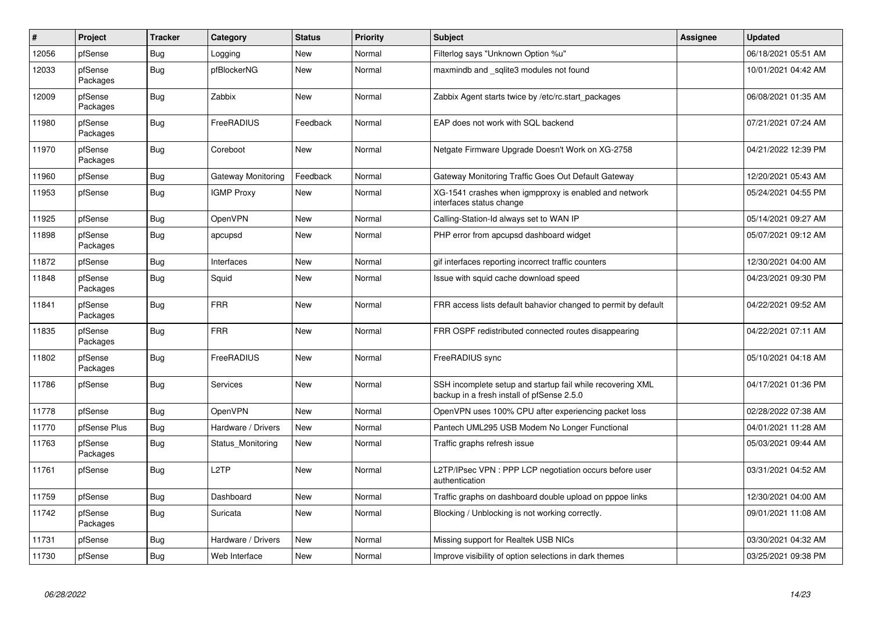| #     | Project             | <b>Tracker</b> | Category           | <b>Status</b> | <b>Priority</b> | <b>Subject</b>                                                                                           | Assignee | <b>Updated</b>      |
|-------|---------------------|----------------|--------------------|---------------|-----------------|----------------------------------------------------------------------------------------------------------|----------|---------------------|
| 12056 | pfSense             | <b>Bug</b>     | Logging            | <b>New</b>    | Normal          | Filterlog says "Unknown Option %u"                                                                       |          | 06/18/2021 05:51 AM |
| 12033 | pfSense<br>Packages | <b>Bug</b>     | pfBlockerNG        | <b>New</b>    | Normal          | maxmindb and _sqlite3 modules not found                                                                  |          | 10/01/2021 04:42 AM |
| 12009 | pfSense<br>Packages | Bug            | Zabbix             | <b>New</b>    | Normal          | Zabbix Agent starts twice by /etc/rc.start packages                                                      |          | 06/08/2021 01:35 AM |
| 11980 | pfSense<br>Packages | Bug            | FreeRADIUS         | Feedback      | Normal          | EAP does not work with SQL backend                                                                       |          | 07/21/2021 07:24 AM |
| 11970 | pfSense<br>Packages | Bug            | Coreboot           | <b>New</b>    | Normal          | Netgate Firmware Upgrade Doesn't Work on XG-2758                                                         |          | 04/21/2022 12:39 PM |
| 11960 | pfSense             | Bug            | Gateway Monitoring | Feedback      | Normal          | Gateway Monitoring Traffic Goes Out Default Gateway                                                      |          | 12/20/2021 05:43 AM |
| 11953 | pfSense             | Bug            | <b>IGMP Proxy</b>  | <b>New</b>    | Normal          | XG-1541 crashes when igmpproxy is enabled and network<br>interfaces status change                        |          | 05/24/2021 04:55 PM |
| 11925 | pfSense             | Bug            | <b>OpenVPN</b>     | <b>New</b>    | Normal          | Calling-Station-Id always set to WAN IP                                                                  |          | 05/14/2021 09:27 AM |
| 11898 | pfSense<br>Packages | <b>Bug</b>     | apcupsd            | <b>New</b>    | Normal          | PHP error from apcupsd dashboard widget                                                                  |          | 05/07/2021 09:12 AM |
| 11872 | pfSense             | <b>Bug</b>     | Interfaces         | <b>New</b>    | Normal          | gif interfaces reporting incorrect traffic counters                                                      |          | 12/30/2021 04:00 AM |
| 11848 | pfSense<br>Packages | <b>Bug</b>     | Squid              | <b>New</b>    | Normal          | Issue with squid cache download speed                                                                    |          | 04/23/2021 09:30 PM |
| 11841 | pfSense<br>Packages | Bug            | <b>FRR</b>         | <b>New</b>    | Normal          | FRR access lists default bahavior changed to permit by default                                           |          | 04/22/2021 09:52 AM |
| 11835 | pfSense<br>Packages | <b>Bug</b>     | <b>FRR</b>         | New           | Normal          | FRR OSPF redistributed connected routes disappearing                                                     |          | 04/22/2021 07:11 AM |
| 11802 | pfSense<br>Packages | <b>Bug</b>     | FreeRADIUS         | <b>New</b>    | Normal          | FreeRADIUS sync                                                                                          |          | 05/10/2021 04:18 AM |
| 11786 | pfSense             | <b>Bug</b>     | Services           | <b>New</b>    | Normal          | SSH incomplete setup and startup fail while recovering XML<br>backup in a fresh install of pfSense 2.5.0 |          | 04/17/2021 01:36 PM |
| 11778 | pfSense             | Bug            | <b>OpenVPN</b>     | <b>New</b>    | Normal          | OpenVPN uses 100% CPU after experiencing packet loss                                                     |          | 02/28/2022 07:38 AM |
| 11770 | pfSense Plus        | Bug            | Hardware / Drivers | <b>New</b>    | Normal          | Pantech UML295 USB Modem No Longer Functional                                                            |          | 04/01/2021 11:28 AM |
| 11763 | pfSense<br>Packages | <b>Bug</b>     | Status_Monitoring  | New           | Normal          | Traffic graphs refresh issue                                                                             |          | 05/03/2021 09:44 AM |
| 11761 | pfSense             | <b>Bug</b>     | L <sub>2</sub> TP  | <b>New</b>    | Normal          | L2TP/IPsec VPN : PPP LCP negotiation occurs before user<br>authentication                                |          | 03/31/2021 04:52 AM |
| 11759 | pfSense             | Bug            | Dashboard          | <b>New</b>    | Normal          | Traffic graphs on dashboard double upload on pppoe links                                                 |          | 12/30/2021 04:00 AM |
| 11742 | pfSense<br>Packages | Bug            | Suricata           | <b>New</b>    | Normal          | Blocking / Unblocking is not working correctly.                                                          |          | 09/01/2021 11:08 AM |
| 11731 | pfSense             | Bug            | Hardware / Drivers | <b>New</b>    | Normal          | Missing support for Realtek USB NICs                                                                     |          | 03/30/2021 04:32 AM |
| 11730 | pfSense             | Bug            | Web Interface      | <b>New</b>    | Normal          | Improve visibility of option selections in dark themes                                                   |          | 03/25/2021 09:38 PM |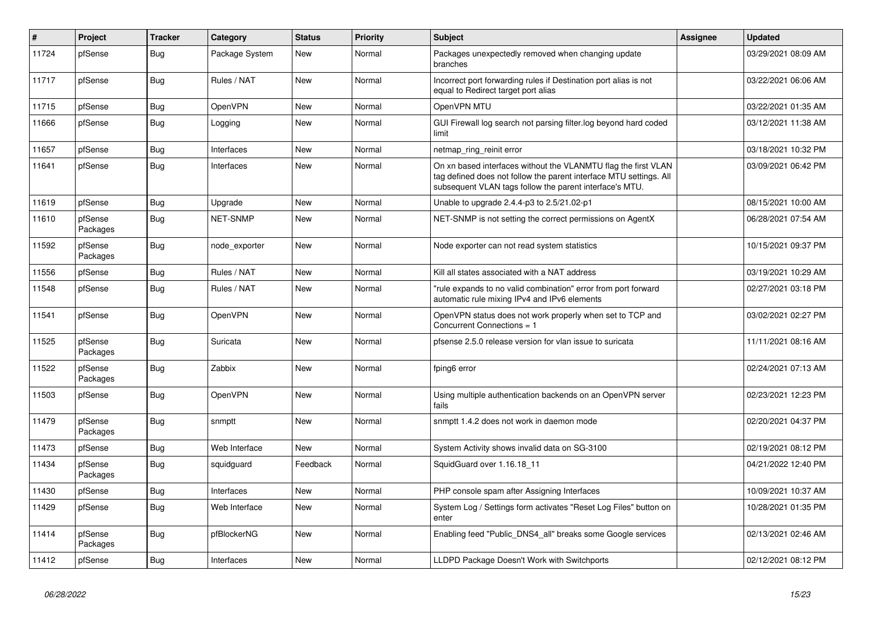| #     | Project             | <b>Tracker</b> | Category        | <b>Status</b> | <b>Priority</b> | <b>Subject</b>                                                                                                                                                                                  | <b>Assignee</b> | <b>Updated</b>      |
|-------|---------------------|----------------|-----------------|---------------|-----------------|-------------------------------------------------------------------------------------------------------------------------------------------------------------------------------------------------|-----------------|---------------------|
| 11724 | pfSense             | Bug            | Package System  | New           | Normal          | Packages unexpectedly removed when changing update<br>branches                                                                                                                                  |                 | 03/29/2021 08:09 AM |
| 11717 | pfSense             | <b>Bug</b>     | Rules / NAT     | <b>New</b>    | Normal          | Incorrect port forwarding rules if Destination port alias is not<br>equal to Redirect target port alias                                                                                         |                 | 03/22/2021 06:06 AM |
| 11715 | pfSense             | Bug            | <b>OpenVPN</b>  | <b>New</b>    | Normal          | OpenVPN MTU                                                                                                                                                                                     |                 | 03/22/2021 01:35 AM |
| 11666 | pfSense             | Bug            | Logging         | <b>New</b>    | Normal          | GUI Firewall log search not parsing filter log beyond hard coded<br>limit                                                                                                                       |                 | 03/12/2021 11:38 AM |
| 11657 | pfSense             | <b>Bug</b>     | Interfaces      | <b>New</b>    | Normal          | netmap_ring_reinit error                                                                                                                                                                        |                 | 03/18/2021 10:32 PM |
| 11641 | pfSense             | <b>Bug</b>     | Interfaces      | <b>New</b>    | Normal          | On xn based interfaces without the VLANMTU flag the first VLAN<br>tag defined does not follow the parent interface MTU settings. All<br>subsequent VLAN tags follow the parent interface's MTU. |                 | 03/09/2021 06:42 PM |
| 11619 | pfSense             | Bug            | Upgrade         | <b>New</b>    | Normal          | Unable to upgrade 2.4.4-p3 to 2.5/21.02-p1                                                                                                                                                      |                 | 08/15/2021 10:00 AM |
| 11610 | pfSense<br>Packages | <b>Bug</b>     | <b>NET-SNMP</b> | <b>New</b>    | Normal          | NET-SNMP is not setting the correct permissions on AgentX                                                                                                                                       |                 | 06/28/2021 07:54 AM |
| 11592 | pfSense<br>Packages | Bug            | node exporter   | <b>New</b>    | Normal          | Node exporter can not read system statistics                                                                                                                                                    |                 | 10/15/2021 09:37 PM |
| 11556 | pfSense             | <b>Bug</b>     | Rules / NAT     | <b>New</b>    | Normal          | Kill all states associated with a NAT address                                                                                                                                                   |                 | 03/19/2021 10:29 AM |
| 11548 | pfSense             | <b>Bug</b>     | Rules / NAT     | <b>New</b>    | Normal          | "rule expands to no valid combination" error from port forward<br>automatic rule mixing IPv4 and IPv6 elements                                                                                  |                 | 02/27/2021 03:18 PM |
| 11541 | pfSense             | Bug            | OpenVPN         | New           | Normal          | OpenVPN status does not work properly when set to TCP and<br>Concurrent Connections = 1                                                                                                         |                 | 03/02/2021 02:27 PM |
| 11525 | pfSense<br>Packages | <b>Bug</b>     | Suricata        | <b>New</b>    | Normal          | pfsense 2.5.0 release version for vlan issue to suricata                                                                                                                                        |                 | 11/11/2021 08:16 AM |
| 11522 | pfSense<br>Packages | Bug            | Zabbix          | <b>New</b>    | Normal          | fping6 error                                                                                                                                                                                    |                 | 02/24/2021 07:13 AM |
| 11503 | pfSense             | Bug            | OpenVPN         | <b>New</b>    | Normal          | Using multiple authentication backends on an OpenVPN server<br>fails                                                                                                                            |                 | 02/23/2021 12:23 PM |
| 11479 | pfSense<br>Packages | Bug            | snmptt          | <b>New</b>    | Normal          | snmptt 1.4.2 does not work in daemon mode                                                                                                                                                       |                 | 02/20/2021 04:37 PM |
| 11473 | pfSense             | <b>Bug</b>     | Web Interface   | <b>New</b>    | Normal          | System Activity shows invalid data on SG-3100                                                                                                                                                   |                 | 02/19/2021 08:12 PM |
| 11434 | pfSense<br>Packages | <b>Bug</b>     | squidguard      | Feedback      | Normal          | SquidGuard over 1.16.18 11                                                                                                                                                                      |                 | 04/21/2022 12:40 PM |
| 11430 | pfSense             | Bug            | Interfaces      | <b>New</b>    | Normal          | PHP console spam after Assigning Interfaces                                                                                                                                                     |                 | 10/09/2021 10:37 AM |
| 11429 | pfSense             | <b>Bug</b>     | Web Interface   | <b>New</b>    | Normal          | System Log / Settings form activates "Reset Log Files" button on<br>enter                                                                                                                       |                 | 10/28/2021 01:35 PM |
| 11414 | pfSense<br>Packages | Bug            | pfBlockerNG     | <b>New</b>    | Normal          | Enabling feed "Public DNS4 all" breaks some Google services                                                                                                                                     |                 | 02/13/2021 02:46 AM |
| 11412 | pfSense             | Bug            | Interfaces      | <b>New</b>    | Normal          | LLDPD Package Doesn't Work with Switchports                                                                                                                                                     |                 | 02/12/2021 08:12 PM |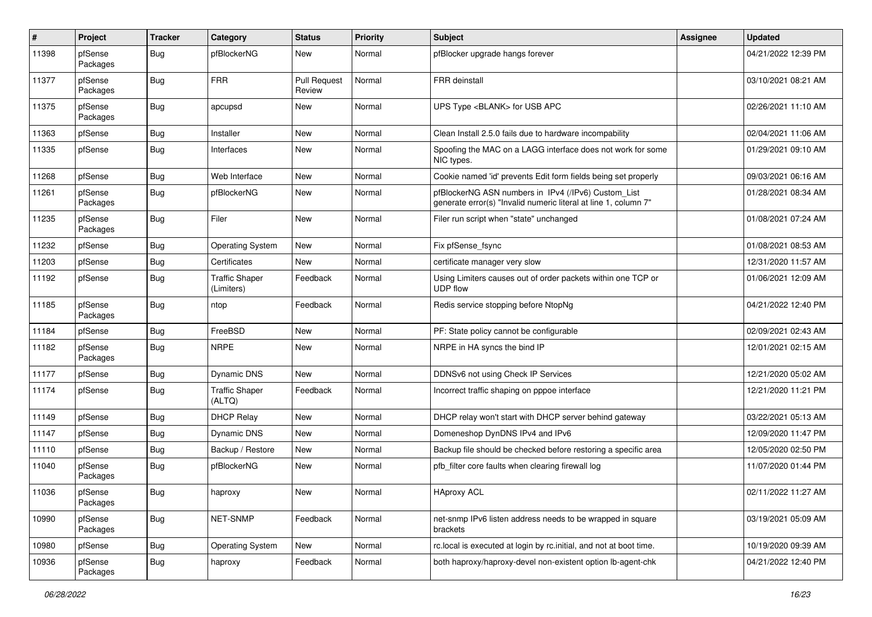| #     | Project             | <b>Tracker</b> | Category                            | <b>Status</b>                 | <b>Priority</b> | <b>Subject</b>                                                                                                         | <b>Assignee</b> | <b>Updated</b>      |
|-------|---------------------|----------------|-------------------------------------|-------------------------------|-----------------|------------------------------------------------------------------------------------------------------------------------|-----------------|---------------------|
| 11398 | pfSense<br>Packages | Bug            | pfBlockerNG                         | New                           | Normal          | pfBlocker upgrade hangs forever                                                                                        |                 | 04/21/2022 12:39 PM |
| 11377 | pfSense<br>Packages | Bug            | <b>FRR</b>                          | <b>Pull Request</b><br>Review | Normal          | <b>FRR</b> deinstall                                                                                                   |                 | 03/10/2021 08:21 AM |
| 11375 | pfSense<br>Packages | <b>Bug</b>     | apcupsd                             | <b>New</b>                    | Normal          | UPS Type <blank> for USB APC</blank>                                                                                   |                 | 02/26/2021 11:10 AM |
| 11363 | pfSense             | Bug            | Installer                           | New                           | Normal          | Clean Install 2.5.0 fails due to hardware incompability                                                                |                 | 02/04/2021 11:06 AM |
| 11335 | pfSense             | <b>Bug</b>     | Interfaces                          | <b>New</b>                    | Normal          | Spoofing the MAC on a LAGG interface does not work for some<br>NIC types.                                              |                 | 01/29/2021 09:10 AM |
| 11268 | pfSense             | Bug            | Web Interface                       | <b>New</b>                    | Normal          | Cookie named 'id' prevents Edit form fields being set properly                                                         |                 | 09/03/2021 06:16 AM |
| 11261 | pfSense<br>Packages | Bug            | pfBlockerNG                         | New                           | Normal          | pfBlockerNG ASN numbers in IPv4 (/IPv6) Custom_List<br>generate error(s) "Invalid numeric literal at line 1, column 7" |                 | 01/28/2021 08:34 AM |
| 11235 | pfSense<br>Packages | Bug            | Filer                               | New                           | Normal          | Filer run script when "state" unchanged                                                                                |                 | 01/08/2021 07:24 AM |
| 11232 | pfSense             | Bug            | <b>Operating System</b>             | New                           | Normal          | Fix pfSense_fsync                                                                                                      |                 | 01/08/2021 08:53 AM |
| 11203 | pfSense             | <b>Bug</b>     | Certificates                        | <b>New</b>                    | Normal          | certificate manager very slow                                                                                          |                 | 12/31/2020 11:57 AM |
| 11192 | pfSense             | <b>Bug</b>     | <b>Traffic Shaper</b><br>(Limiters) | Feedback                      | Normal          | Using Limiters causes out of order packets within one TCP or<br><b>UDP flow</b>                                        |                 | 01/06/2021 12:09 AM |
| 11185 | pfSense<br>Packages | <b>Bug</b>     | ntop                                | Feedback                      | Normal          | Redis service stopping before NtopNg                                                                                   |                 | 04/21/2022 12:40 PM |
| 11184 | pfSense             | Bug            | FreeBSD                             | <b>New</b>                    | Normal          | PF: State policy cannot be configurable                                                                                |                 | 02/09/2021 02:43 AM |
| 11182 | pfSense<br>Packages | Bug            | <b>NRPE</b>                         | New                           | Normal          | NRPE in HA syncs the bind IP                                                                                           |                 | 12/01/2021 02:15 AM |
| 11177 | pfSense             | <b>Bug</b>     | <b>Dynamic DNS</b>                  | New                           | Normal          | DDNSv6 not using Check IP Services                                                                                     |                 | 12/21/2020 05:02 AM |
| 11174 | pfSense             | Bug            | <b>Traffic Shaper</b><br>(ALTQ)     | Feedback                      | Normal          | Incorrect traffic shaping on pppoe interface                                                                           |                 | 12/21/2020 11:21 PM |
| 11149 | pfSense             | Bug            | <b>DHCP Relay</b>                   | <b>New</b>                    | Normal          | DHCP relay won't start with DHCP server behind gateway                                                                 |                 | 03/22/2021 05:13 AM |
| 11147 | pfSense             | Bug            | Dynamic DNS                         | New                           | Normal          | Domeneshop DynDNS IPv4 and IPv6                                                                                        |                 | 12/09/2020 11:47 PM |
| 11110 | pfSense             | Bug            | Backup / Restore                    | <b>New</b>                    | Normal          | Backup file should be checked before restoring a specific area                                                         |                 | 12/05/2020 02:50 PM |
| 11040 | pfSense<br>Packages | Bug            | pfBlockerNG                         | New                           | Normal          | pfb filter core faults when clearing firewall log                                                                      |                 | 11/07/2020 01:44 PM |
| 11036 | pfSense<br>Packages | Bug            | haproxy                             | New                           | Normal          | <b>HAproxy ACL</b>                                                                                                     |                 | 02/11/2022 11:27 AM |
| 10990 | pfSense<br>Packages | <b>Bug</b>     | NET-SNMP                            | Feedback                      | Normal          | net-snmp IPv6 listen address needs to be wrapped in square<br>brackets                                                 |                 | 03/19/2021 05:09 AM |
| 10980 | pfSense             | <b>Bug</b>     | <b>Operating System</b>             | New                           | Normal          | rc.local is executed at login by rc.initial, and not at boot time.                                                     |                 | 10/19/2020 09:39 AM |
| 10936 | pfSense<br>Packages | <b>Bug</b>     | haproxy                             | Feedback                      | Normal          | both haproxy/haproxy-devel non-existent option lb-agent-chk                                                            |                 | 04/21/2022 12:40 PM |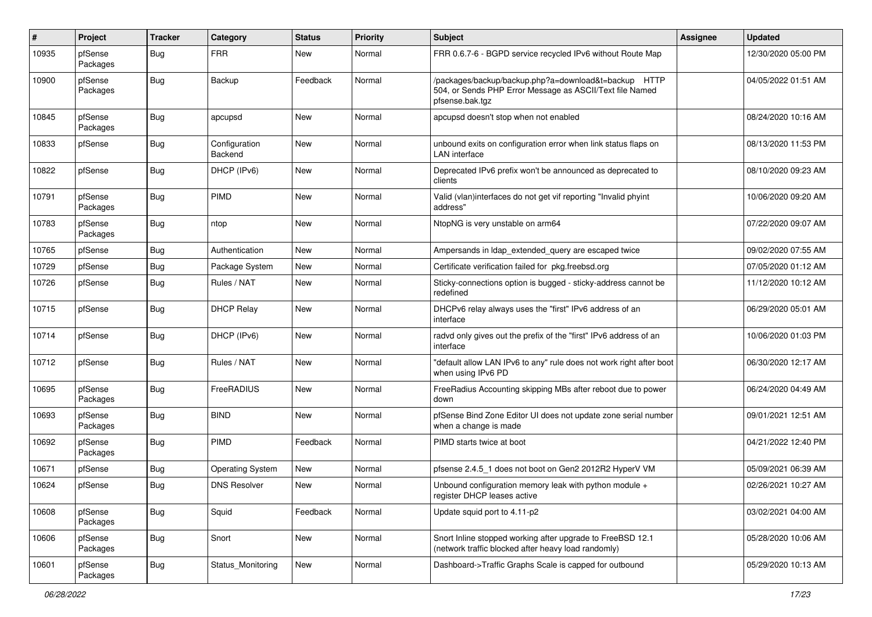| #     | Project             | <b>Tracker</b> | Category                 | <b>Status</b> | <b>Priority</b> | Subject                                                                                                                             | <b>Assignee</b> | <b>Updated</b>      |
|-------|---------------------|----------------|--------------------------|---------------|-----------------|-------------------------------------------------------------------------------------------------------------------------------------|-----------------|---------------------|
| 10935 | pfSense<br>Packages | <b>Bug</b>     | <b>FRR</b>               | New           | Normal          | FRR 0.6.7-6 - BGPD service recycled IPv6 without Route Map                                                                          |                 | 12/30/2020 05:00 PM |
| 10900 | pfSense<br>Packages | Bug            | Backup                   | Feedback      | Normal          | /packages/backup/backup.php?a=download&t=backup HTTP<br>504, or Sends PHP Error Message as ASCII/Text file Named<br>pfsense.bak.tgz |                 | 04/05/2022 01:51 AM |
| 10845 | pfSense<br>Packages | Bug            | apcupsd                  | New           | Normal          | apcupsd doesn't stop when not enabled                                                                                               |                 | 08/24/2020 10:16 AM |
| 10833 | pfSense             | <b>Bug</b>     | Configuration<br>Backend | <b>New</b>    | Normal          | unbound exits on configuration error when link status flaps on<br><b>LAN</b> interface                                              |                 | 08/13/2020 11:53 PM |
| 10822 | pfSense             | Bug            | DHCP (IPv6)              | <b>New</b>    | Normal          | Deprecated IPv6 prefix won't be announced as deprecated to<br>clients                                                               |                 | 08/10/2020 09:23 AM |
| 10791 | pfSense<br>Packages | Bug            | <b>PIMD</b>              | <b>New</b>    | Normal          | Valid (vlan)interfaces do not get vif reporting "Invalid phyint<br>address"                                                         |                 | 10/06/2020 09:20 AM |
| 10783 | pfSense<br>Packages | <b>Bug</b>     | ntop                     | <b>New</b>    | Normal          | NtopNG is very unstable on arm64                                                                                                    |                 | 07/22/2020 09:07 AM |
| 10765 | pfSense             | <b>Bug</b>     | Authentication           | <b>New</b>    | Normal          | Ampersands in Idap extended query are escaped twice                                                                                 |                 | 09/02/2020 07:55 AM |
| 10729 | pfSense             | Bug            | Package System           | New           | Normal          | Certificate verification failed for pkg.freebsd.org                                                                                 |                 | 07/05/2020 01:12 AM |
| 10726 | pfSense             | <b>Bug</b>     | Rules / NAT              | New           | Normal          | Sticky-connections option is bugged - sticky-address cannot be<br>redefined                                                         |                 | 11/12/2020 10:12 AM |
| 10715 | pfSense             | Bug            | <b>DHCP Relay</b>        | <b>New</b>    | Normal          | DHCPv6 relay always uses the "first" IPv6 address of an<br>interface                                                                |                 | 06/29/2020 05:01 AM |
| 10714 | pfSense             | <b>Bug</b>     | DHCP (IPv6)              | New           | Normal          | radvd only gives out the prefix of the "first" IPv6 address of an<br>interface                                                      |                 | 10/06/2020 01:03 PM |
| 10712 | pfSense             | <b>Bug</b>     | Rules / NAT              | New           | Normal          | "default allow LAN IPv6 to any" rule does not work right after boot<br>when using IPv6 PD                                           |                 | 06/30/2020 12:17 AM |
| 10695 | pfSense<br>Packages | <b>Bug</b>     | FreeRADIUS               | New           | Normal          | FreeRadius Accounting skipping MBs after reboot due to power<br>down                                                                |                 | 06/24/2020 04:49 AM |
| 10693 | pfSense<br>Packages | Bug            | <b>BIND</b>              | <b>New</b>    | Normal          | pfSense Bind Zone Editor UI does not update zone serial number<br>when a change is made                                             |                 | 09/01/2021 12:51 AM |
| 10692 | pfSense<br>Packages | <b>Bug</b>     | <b>PIMD</b>              | Feedback      | Normal          | PIMD starts twice at boot                                                                                                           |                 | 04/21/2022 12:40 PM |
| 10671 | pfSense             | <b>Bug</b>     | <b>Operating System</b>  | New           | Normal          | pfsense 2.4.5_1 does not boot on Gen2 2012R2 HyperV VM                                                                              |                 | 05/09/2021 06:39 AM |
| 10624 | pfSense             | <b>Bug</b>     | <b>DNS Resolver</b>      | New           | Normal          | Unbound configuration memory leak with python module +<br>register DHCP leases active                                               |                 | 02/26/2021 10:27 AM |
| 10608 | pfSense<br>Packages | <b>Bug</b>     | Squid                    | Feedback      | Normal          | Update squid port to 4.11-p2                                                                                                        |                 | 03/02/2021 04:00 AM |
| 10606 | pfSense<br>Packages | <b>Bug</b>     | Snort                    | New           | Normal          | Snort Inline stopped working after upgrade to FreeBSD 12.1<br>(network traffic blocked after heavy load randomly)                   |                 | 05/28/2020 10:06 AM |
| 10601 | pfSense<br>Packages | <b>Bug</b>     | Status_Monitoring        | New           | Normal          | Dashboard->Traffic Graphs Scale is capped for outbound                                                                              |                 | 05/29/2020 10:13 AM |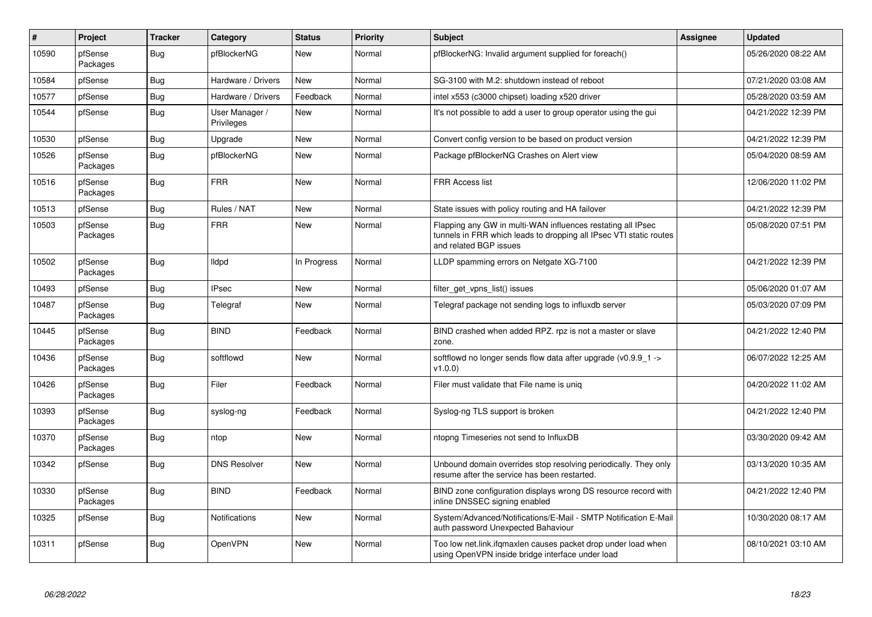| #     | Project             | <b>Tracker</b> | Category                     | <b>Status</b> | <b>Priority</b> | <b>Subject</b>                                                                                                                                              | <b>Assignee</b> | <b>Updated</b>      |
|-------|---------------------|----------------|------------------------------|---------------|-----------------|-------------------------------------------------------------------------------------------------------------------------------------------------------------|-----------------|---------------------|
| 10590 | pfSense<br>Packages | <b>Bug</b>     | pfBlockerNG                  | <b>New</b>    | Normal          | pfBlockerNG: Invalid argument supplied for foreach()                                                                                                        |                 | 05/26/2020 08:22 AM |
| 10584 | pfSense             | Bug            | Hardware / Drivers           | <b>New</b>    | Normal          | SG-3100 with M.2: shutdown instead of reboot                                                                                                                |                 | 07/21/2020 03:08 AM |
| 10577 | pfSense             | <b>Bug</b>     | Hardware / Drivers           | Feedback      | Normal          | intel x553 (c3000 chipset) loading x520 driver                                                                                                              |                 | 05/28/2020 03:59 AM |
| 10544 | pfSense             | Bug            | User Manager /<br>Privileges | <b>New</b>    | Normal          | It's not possible to add a user to group operator using the gui                                                                                             |                 | 04/21/2022 12:39 PM |
| 10530 | pfSense             | <b>Bug</b>     | Upgrade                      | <b>New</b>    | Normal          | Convert config version to be based on product version                                                                                                       |                 | 04/21/2022 12:39 PM |
| 10526 | pfSense<br>Packages | Bug            | pfBlockerNG                  | <b>New</b>    | Normal          | Package pfBlockerNG Crashes on Alert view                                                                                                                   |                 | 05/04/2020 08:59 AM |
| 10516 | pfSense<br>Packages | <b>Bug</b>     | <b>FRR</b>                   | <b>New</b>    | Normal          | <b>FRR Access list</b>                                                                                                                                      |                 | 12/06/2020 11:02 PM |
| 10513 | pfSense             | Bug            | Rules / NAT                  | New           | Normal          | State issues with policy routing and HA failover                                                                                                            |                 | 04/21/2022 12:39 PM |
| 10503 | pfSense<br>Packages | Bug            | <b>FRR</b>                   | <b>New</b>    | Normal          | Flapping any GW in multi-WAN influences restating all IPsec<br>tunnels in FRR which leads to dropping all IPsec VTI static routes<br>and related BGP issues |                 | 05/08/2020 07:51 PM |
| 10502 | pfSense<br>Packages | Bug            | lldpd                        | In Progress   | Normal          | LLDP spamming errors on Netgate XG-7100                                                                                                                     |                 | 04/21/2022 12:39 PM |
| 10493 | pfSense             | Bug            | <b>IPsec</b>                 | New           | Normal          | filter get vpns list() issues                                                                                                                               |                 | 05/06/2020 01:07 AM |
| 10487 | pfSense<br>Packages | <b>Bug</b>     | Telegraf                     | <b>New</b>    | Normal          | Telegraf package not sending logs to influxdb server                                                                                                        |                 | 05/03/2020 07:09 PM |
| 10445 | pfSense<br>Packages | Bug            | <b>BIND</b>                  | Feedback      | Normal          | BIND crashed when added RPZ. rpz is not a master or slave<br>zone.                                                                                          |                 | 04/21/2022 12:40 PM |
| 10436 | pfSense<br>Packages | Bug            | softflowd                    | <b>New</b>    | Normal          | softflowd no longer sends flow data after upgrade ( $v0.9.9$ 1 -><br>v1.0.0                                                                                 |                 | 06/07/2022 12:25 AM |
| 10426 | pfSense<br>Packages | <b>Bug</b>     | Filer                        | Feedback      | Normal          | Filer must validate that File name is uniq                                                                                                                  |                 | 04/20/2022 11:02 AM |
| 10393 | pfSense<br>Packages | <b>Bug</b>     | syslog-ng                    | Feedback      | Normal          | Syslog-ng TLS support is broken                                                                                                                             |                 | 04/21/2022 12:40 PM |
| 10370 | pfSense<br>Packages | <b>Bug</b>     | ntop                         | <b>New</b>    | Normal          | ntopng Timeseries not send to InfluxDB                                                                                                                      |                 | 03/30/2020 09:42 AM |
| 10342 | pfSense             | Bug            | <b>DNS Resolver</b>          | <b>New</b>    | Normal          | Unbound domain overrides stop resolving periodically. They only<br>resume after the service has been restarted.                                             |                 | 03/13/2020 10:35 AM |
| 10330 | pfSense<br>Packages | Bug            | <b>BIND</b>                  | Feedback      | Normal          | BIND zone configuration displays wrong DS resource record with<br>inline DNSSEC signing enabled                                                             |                 | 04/21/2022 12:40 PM |
| 10325 | pfSense             | <b>Bug</b>     | Notifications                | New           | Normal          | System/Advanced/Notifications/E-Mail - SMTP Notification E-Mail<br>auth password Unexpected Bahaviour                                                       |                 | 10/30/2020 08:17 AM |
| 10311 | pfSense             | Bug            | <b>OpenVPN</b>               | <b>New</b>    | Normal          | Too low net.link.ifqmaxlen causes packet drop under load when<br>using OpenVPN inside bridge interface under load                                           |                 | 08/10/2021 03:10 AM |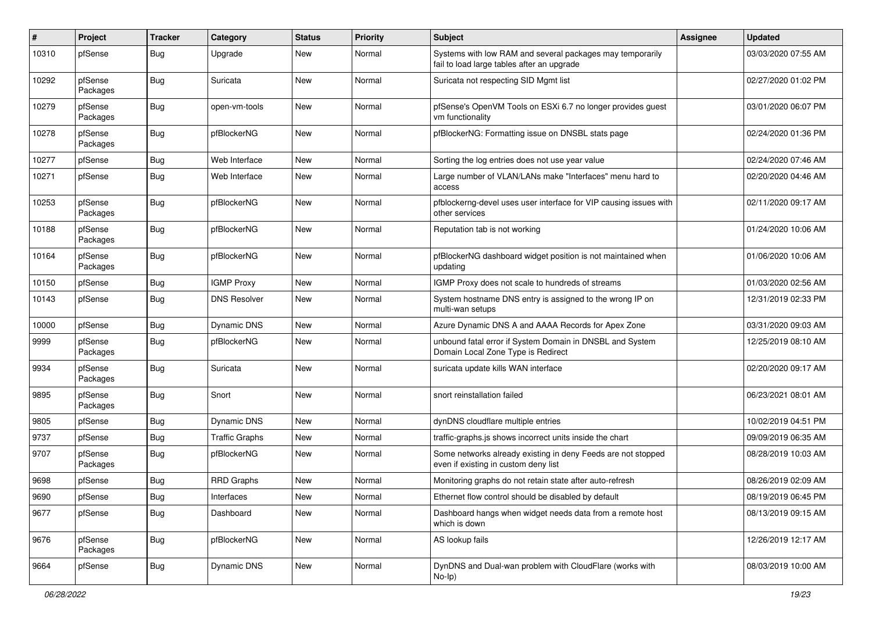| #     | Project             | <b>Tracker</b> | Category              | <b>Status</b> | <b>Priority</b> | Subject                                                                                                 | Assignee | <b>Updated</b>      |
|-------|---------------------|----------------|-----------------------|---------------|-----------------|---------------------------------------------------------------------------------------------------------|----------|---------------------|
| 10310 | pfSense             | Bug            | Upgrade               | New           | Normal          | Systems with low RAM and several packages may temporarily<br>fail to load large tables after an upgrade |          | 03/03/2020 07:55 AM |
| 10292 | pfSense<br>Packages | Bug            | Suricata              | New           | Normal          | Suricata not respecting SID Mgmt list                                                                   |          | 02/27/2020 01:02 PM |
| 10279 | pfSense<br>Packages | Bug            | open-vm-tools         | New           | Normal          | pfSense's OpenVM Tools on ESXi 6.7 no longer provides guest<br>vm functionality                         |          | 03/01/2020 06:07 PM |
| 10278 | pfSense<br>Packages | Bug            | pfBlockerNG           | New           | Normal          | pfBlockerNG: Formatting issue on DNSBL stats page                                                       |          | 02/24/2020 01:36 PM |
| 10277 | pfSense             | <b>Bug</b>     | Web Interface         | New           | Normal          | Sorting the log entries does not use year value                                                         |          | 02/24/2020 07:46 AM |
| 10271 | pfSense             | Bug            | Web Interface         | New           | Normal          | Large number of VLAN/LANs make "Interfaces" menu hard to<br>access                                      |          | 02/20/2020 04:46 AM |
| 10253 | pfSense<br>Packages | Bug            | pfBlockerNG           | <b>New</b>    | Normal          | pfblockerng-devel uses user interface for VIP causing issues with<br>other services                     |          | 02/11/2020 09:17 AM |
| 10188 | pfSense<br>Packages | Bug            | pfBlockerNG           | New           | Normal          | Reputation tab is not working                                                                           |          | 01/24/2020 10:06 AM |
| 10164 | pfSense<br>Packages | <b>Bug</b>     | pfBlockerNG           | New           | Normal          | pfBlockerNG dashboard widget position is not maintained when<br>updating                                |          | 01/06/2020 10:06 AM |
| 10150 | pfSense             | <b>Bug</b>     | <b>IGMP Proxy</b>     | New           | Normal          | IGMP Proxy does not scale to hundreds of streams                                                        |          | 01/03/2020 02:56 AM |
| 10143 | pfSense             | Bug            | <b>DNS Resolver</b>   | <b>New</b>    | Normal          | System hostname DNS entry is assigned to the wrong IP on<br>multi-wan setups                            |          | 12/31/2019 02:33 PM |
| 10000 | pfSense             | <b>Bug</b>     | Dynamic DNS           | New           | Normal          | Azure Dynamic DNS A and AAAA Records for Apex Zone                                                      |          | 03/31/2020 09:03 AM |
| 9999  | pfSense<br>Packages | Bug            | pfBlockerNG           | New           | Normal          | unbound fatal error if System Domain in DNSBL and System<br>Domain Local Zone Type is Redirect          |          | 12/25/2019 08:10 AM |
| 9934  | pfSense<br>Packages | <b>Bug</b>     | Suricata              | New           | Normal          | suricata update kills WAN interface                                                                     |          | 02/20/2020 09:17 AM |
| 9895  | pfSense<br>Packages | Bug            | Snort                 | New           | Normal          | snort reinstallation failed                                                                             |          | 06/23/2021 08:01 AM |
| 9805  | pfSense             | Bug            | Dynamic DNS           | <b>New</b>    | Normal          | dynDNS cloudflare multiple entries                                                                      |          | 10/02/2019 04:51 PM |
| 9737  | pfSense             | Bug            | <b>Traffic Graphs</b> | New           | Normal          | traffic-graphs.js shows incorrect units inside the chart                                                |          | 09/09/2019 06:35 AM |
| 9707  | pfSense<br>Packages | Bug            | pfBlockerNG           | New           | Normal          | Some networks already existing in deny Feeds are not stopped<br>even if existing in custom deny list    |          | 08/28/2019 10:03 AM |
| 9698  | pfSense             | Bug            | <b>RRD Graphs</b>     | <b>New</b>    | Normal          | Monitoring graphs do not retain state after auto-refresh                                                |          | 08/26/2019 02:09 AM |
| 9690  | pfSense             | Bug            | Interfaces            | New           | Normal          | Ethernet flow control should be disabled by default                                                     |          | 08/19/2019 06:45 PM |
| 9677  | pfSense             | <b>Bug</b>     | Dashboard             | New           | Normal          | Dashboard hangs when widget needs data from a remote host<br>which is down                              |          | 08/13/2019 09:15 AM |
| 9676  | pfSense<br>Packages | <b>Bug</b>     | pfBlockerNG           | New           | Normal          | AS lookup fails                                                                                         |          | 12/26/2019 12:17 AM |
| 9664  | pfSense             | <b>Bug</b>     | Dynamic DNS           | New           | Normal          | DynDNS and Dual-wan problem with CloudFlare (works with<br>$No-Ip)$                                     |          | 08/03/2019 10:00 AM |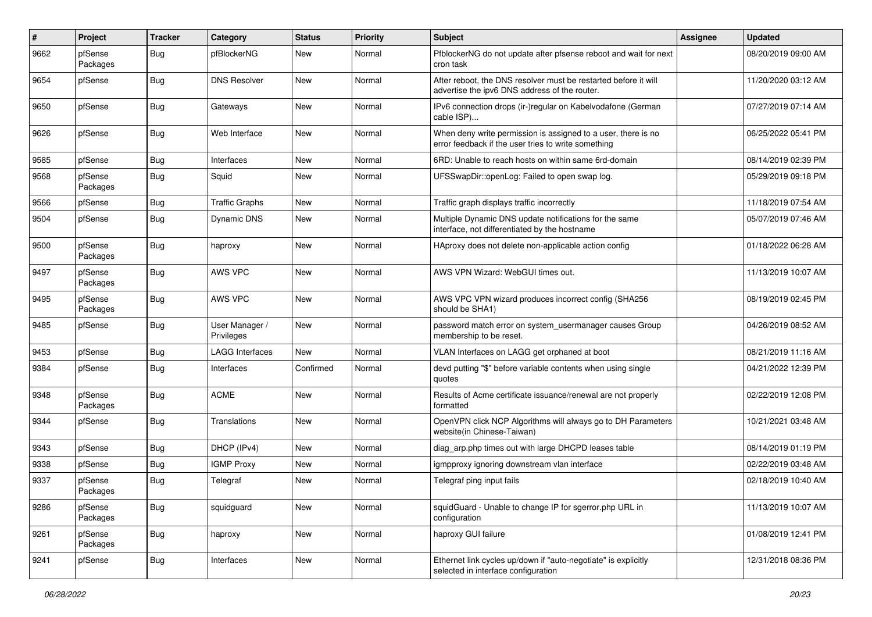| $\sharp$ | Project             | Tracker    | Category                     | <b>Status</b> | <b>Priority</b> | <b>Subject</b>                                                                                                       | Assignee | <b>Updated</b>      |
|----------|---------------------|------------|------------------------------|---------------|-----------------|----------------------------------------------------------------------------------------------------------------------|----------|---------------------|
| 9662     | pfSense<br>Packages | Bug        | pfBlockerNG                  | <b>New</b>    | Normal          | PfblockerNG do not update after pfsense reboot and wait for next<br>cron task                                        |          | 08/20/2019 09:00 AM |
| 9654     | pfSense             | Bug        | <b>DNS Resolver</b>          | <b>New</b>    | Normal          | After reboot, the DNS resolver must be restarted before it will<br>advertise the ipv6 DNS address of the router.     |          | 11/20/2020 03:12 AM |
| 9650     | pfSense             | Bug        | Gateways                     | New           | Normal          | IPv6 connection drops (ir-)regular on Kabelvodafone (German<br>cable ISP)                                            |          | 07/27/2019 07:14 AM |
| 9626     | pfSense             | Bug        | Web Interface                | New           | Normal          | When deny write permission is assigned to a user, there is no<br>error feedback if the user tries to write something |          | 06/25/2022 05:41 PM |
| 9585     | pfSense             | Bug        | Interfaces                   | New           | Normal          | 6RD: Unable to reach hosts on within same 6rd-domain                                                                 |          | 08/14/2019 02:39 PM |
| 9568     | pfSense<br>Packages | Bug        | Squid                        | New           | Normal          | UFSSwapDir::openLog: Failed to open swap log.                                                                        |          | 05/29/2019 09:18 PM |
| 9566     | pfSense             | Bug        | <b>Traffic Graphs</b>        | <b>New</b>    | Normal          | Traffic graph displays traffic incorrectly                                                                           |          | 11/18/2019 07:54 AM |
| 9504     | pfSense             | Bug        | <b>Dynamic DNS</b>           | New           | Normal          | Multiple Dynamic DNS update notifications for the same<br>interface, not differentiated by the hostname              |          | 05/07/2019 07:46 AM |
| 9500     | pfSense<br>Packages | Bug        | haproxy                      | New           | Normal          | HAproxy does not delete non-applicable action config                                                                 |          | 01/18/2022 06:28 AM |
| 9497     | pfSense<br>Packages | Bug        | AWS VPC                      | <b>New</b>    | Normal          | AWS VPN Wizard: WebGUI times out.                                                                                    |          | 11/13/2019 10:07 AM |
| 9495     | pfSense<br>Packages | <b>Bug</b> | AWS VPC                      | <b>New</b>    | Normal          | AWS VPC VPN wizard produces incorrect config (SHA256)<br>should be SHA1)                                             |          | 08/19/2019 02:45 PM |
| 9485     | pfSense             | Bug        | User Manager /<br>Privileges | <b>New</b>    | Normal          | password match error on system_usermanager causes Group<br>membership to be reset.                                   |          | 04/26/2019 08:52 AM |
| 9453     | pfSense             | Bug        | LAGG Interfaces              | <b>New</b>    | Normal          | VLAN Interfaces on LAGG get orphaned at boot                                                                         |          | 08/21/2019 11:16 AM |
| 9384     | pfSense             | <b>Bug</b> | Interfaces                   | Confirmed     | Normal          | devd putting "\$" before variable contents when using single<br>quotes                                               |          | 04/21/2022 12:39 PM |
| 9348     | pfSense<br>Packages | Bug        | <b>ACME</b>                  | New           | Normal          | Results of Acme certificate issuance/renewal are not properly<br>formatted                                           |          | 02/22/2019 12:08 PM |
| 9344     | pfSense             | Bug        | Translations                 | <b>New</b>    | Normal          | OpenVPN click NCP Algorithms will always go to DH Parameters<br>website(in Chinese-Taiwan)                           |          | 10/21/2021 03:48 AM |
| 9343     | pfSense             | Bug        | DHCP (IPv4)                  | <b>New</b>    | Normal          | diag_arp.php times out with large DHCPD leases table                                                                 |          | 08/14/2019 01:19 PM |
| 9338     | pfSense             | Bug        | <b>IGMP Proxy</b>            | New           | Normal          | igmpproxy ignoring downstream vlan interface                                                                         |          | 02/22/2019 03:48 AM |
| 9337     | pfSense<br>Packages | <b>Bug</b> | Telegraf                     | <b>New</b>    | Normal          | Telegraf ping input fails                                                                                            |          | 02/18/2019 10:40 AM |
| 9286     | pfSense<br>Packages | Bug        | squidguard                   | New           | Normal          | squidGuard - Unable to change IP for sgerror.php URL in<br>configuration                                             |          | 11/13/2019 10:07 AM |
| 9261     | pfSense<br>Packages | Bug        | haproxy                      | New           | Normal          | haproxy GUI failure                                                                                                  |          | 01/08/2019 12:41 PM |
| 9241     | pfSense             | <b>Bug</b> | Interfaces                   | New           | Normal          | Ethernet link cycles up/down if "auto-negotiate" is explicitly<br>selected in interface configuration                |          | 12/31/2018 08:36 PM |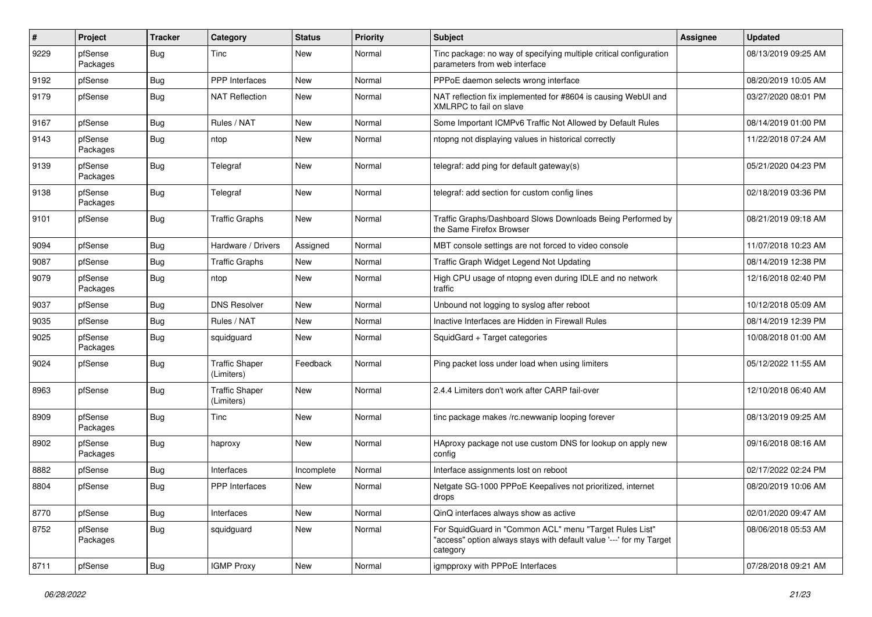| #    | Project             | <b>Tracker</b> | Category                            | <b>Status</b> | <b>Priority</b> | <b>Subject</b>                                                                                                                             | Assignee | <b>Updated</b>      |
|------|---------------------|----------------|-------------------------------------|---------------|-----------------|--------------------------------------------------------------------------------------------------------------------------------------------|----------|---------------------|
| 9229 | pfSense<br>Packages | Bug            | Tinc                                | New           | Normal          | Tinc package: no way of specifying multiple critical configuration<br>parameters from web interface                                        |          | 08/13/2019 09:25 AM |
| 9192 | pfSense             | Bug            | <b>PPP</b> Interfaces               | New           | Normal          | PPPoE daemon selects wrong interface                                                                                                       |          | 08/20/2019 10:05 AM |
| 9179 | pfSense             | <b>Bug</b>     | <b>NAT Reflection</b>               | <b>New</b>    | Normal          | NAT reflection fix implemented for #8604 is causing WebUI and<br>XMLRPC to fail on slave                                                   |          | 03/27/2020 08:01 PM |
| 9167 | pfSense             | Bug            | Rules / NAT                         | <b>New</b>    | Normal          | Some Important ICMPv6 Traffic Not Allowed by Default Rules                                                                                 |          | 08/14/2019 01:00 PM |
| 9143 | pfSense<br>Packages | Bug            | ntop                                | New           | Normal          | ntopng not displaying values in historical correctly                                                                                       |          | 11/22/2018 07:24 AM |
| 9139 | pfSense<br>Packages | Bug            | Telegraf                            | New           | Normal          | telegraf: add ping for default gateway(s)                                                                                                  |          | 05/21/2020 04:23 PM |
| 9138 | pfSense<br>Packages | Bug            | Telegraf                            | New           | Normal          | telegraf: add section for custom config lines                                                                                              |          | 02/18/2019 03:36 PM |
| 9101 | pfSense             | Bug            | <b>Traffic Graphs</b>               | <b>New</b>    | Normal          | Traffic Graphs/Dashboard Slows Downloads Being Performed by<br>the Same Firefox Browser                                                    |          | 08/21/2019 09:18 AM |
| 9094 | pfSense             | Bug            | Hardware / Drivers                  | Assigned      | Normal          | MBT console settings are not forced to video console                                                                                       |          | 11/07/2018 10:23 AM |
| 9087 | pfSense             | Bug            | <b>Traffic Graphs</b>               | <b>New</b>    | Normal          | Traffic Graph Widget Legend Not Updating                                                                                                   |          | 08/14/2019 12:38 PM |
| 9079 | pfSense<br>Packages | Bug            | ntop                                | <b>New</b>    | Normal          | High CPU usage of ntopng even during IDLE and no network<br>traffic                                                                        |          | 12/16/2018 02:40 PM |
| 9037 | pfSense             | Bug            | <b>DNS Resolver</b>                 | <b>New</b>    | Normal          | Unbound not logging to syslog after reboot                                                                                                 |          | 10/12/2018 05:09 AM |
| 9035 | pfSense             | Bug            | Rules / NAT                         | New           | Normal          | Inactive Interfaces are Hidden in Firewall Rules                                                                                           |          | 08/14/2019 12:39 PM |
| 9025 | pfSense<br>Packages | Bug            | squidguard                          | <b>New</b>    | Normal          | SquidGard + Target categories                                                                                                              |          | 10/08/2018 01:00 AM |
| 9024 | pfSense             | Bug            | <b>Traffic Shaper</b><br>(Limiters) | Feedback      | Normal          | Ping packet loss under load when using limiters                                                                                            |          | 05/12/2022 11:55 AM |
| 8963 | pfSense             | Bug            | <b>Traffic Shaper</b><br>(Limiters) | New           | Normal          | 2.4.4 Limiters don't work after CARP fail-over                                                                                             |          | 12/10/2018 06:40 AM |
| 8909 | pfSense<br>Packages | <b>Bug</b>     | Tinc                                | New           | Normal          | tinc package makes /rc.newwanip looping forever                                                                                            |          | 08/13/2019 09:25 AM |
| 8902 | pfSense<br>Packages | Bug            | haproxy                             | New           | Normal          | HAproxy package not use custom DNS for lookup on apply new<br>config                                                                       |          | 09/16/2018 08:16 AM |
| 8882 | pfSense             | Bug            | Interfaces                          | Incomplete    | Normal          | Interface assignments lost on reboot                                                                                                       |          | 02/17/2022 02:24 PM |
| 8804 | pfSense             | Bug            | PPP Interfaces                      | New           | Normal          | Netgate SG-1000 PPPoE Keepalives not prioritized, internet<br>drops                                                                        |          | 08/20/2019 10:06 AM |
| 8770 | pfSense             | <b>Bug</b>     | Interfaces                          | New           | Normal          | QinQ interfaces always show as active                                                                                                      |          | 02/01/2020 09:47 AM |
| 8752 | pfSense<br>Packages | <b>Bug</b>     | squidguard                          | New           | Normal          | For SquidGuard in "Common ACL" menu "Target Rules List"<br>"access" option always stays with default value '---' for my Target<br>category |          | 08/06/2018 05:53 AM |
| 8711 | pfSense             | Bug            | <b>IGMP Proxy</b>                   | New           | Normal          | igmpproxy with PPPoE Interfaces                                                                                                            |          | 07/28/2018 09:21 AM |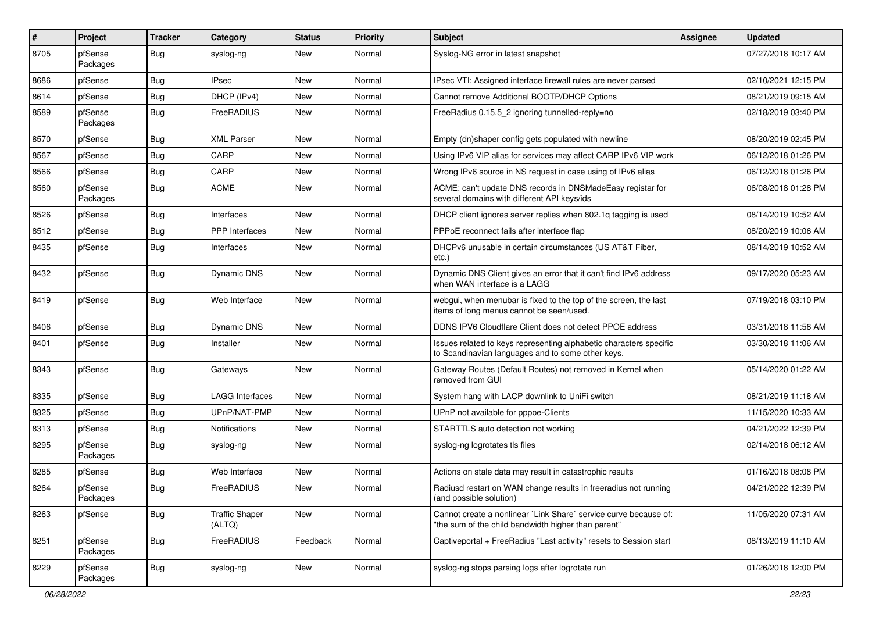| ∦    | Project             | <b>Tracker</b> | Category                        | <b>Status</b> | <b>Priority</b> | <b>Subject</b>                                                                                                          | <b>Assignee</b> | <b>Updated</b>      |
|------|---------------------|----------------|---------------------------------|---------------|-----------------|-------------------------------------------------------------------------------------------------------------------------|-----------------|---------------------|
| 8705 | pfSense<br>Packages | Bug            | syslog-ng                       | <b>New</b>    | Normal          | Syslog-NG error in latest snapshot                                                                                      |                 | 07/27/2018 10:17 AM |
| 8686 | pfSense             | Bug            | <b>IPsec</b>                    | <b>New</b>    | Normal          | IPsec VTI: Assigned interface firewall rules are never parsed                                                           |                 | 02/10/2021 12:15 PM |
| 8614 | pfSense             | Bug            | DHCP (IPv4)                     | New           | Normal          | Cannot remove Additional BOOTP/DHCP Options                                                                             |                 | 08/21/2019 09:15 AM |
| 8589 | pfSense<br>Packages | Bug            | FreeRADIUS                      | <b>New</b>    | Normal          | FreeRadius 0.15.5_2 ignoring tunnelled-reply=no                                                                         |                 | 02/18/2019 03:40 PM |
| 8570 | pfSense             | Bug            | <b>XML Parser</b>               | <b>New</b>    | Normal          | Empty (dn)shaper config gets populated with newline                                                                     |                 | 08/20/2019 02:45 PM |
| 8567 | pfSense             | Bug            | CARP                            | New           | Normal          | Using IPv6 VIP alias for services may affect CARP IPv6 VIP work                                                         |                 | 06/12/2018 01:26 PM |
| 8566 | pfSense             | Bug            | CARP                            | New           | Normal          | Wrong IPv6 source in NS request in case using of IPv6 alias                                                             |                 | 06/12/2018 01:26 PM |
| 8560 | pfSense<br>Packages | <b>Bug</b>     | <b>ACME</b>                     | New           | Normal          | ACME: can't update DNS records in DNSMadeEasy registar for<br>several domains with different API keys/ids               |                 | 06/08/2018 01:28 PM |
| 8526 | pfSense             | Bug            | Interfaces                      | New           | Normal          | DHCP client ignores server replies when 802.1q tagging is used                                                          |                 | 08/14/2019 10:52 AM |
| 8512 | pfSense             | <b>Bug</b>     | <b>PPP</b> Interfaces           | New           | Normal          | PPPoE reconnect fails after interface flap                                                                              |                 | 08/20/2019 10:06 AM |
| 8435 | pfSense             | Bug            | Interfaces                      | New           | Normal          | DHCPv6 unusable in certain circumstances (US AT&T Fiber,<br>$etc.$ )                                                    |                 | 08/14/2019 10:52 AM |
| 8432 | pfSense             | <b>Bug</b>     | Dynamic DNS                     | New           | Normal          | Dynamic DNS Client gives an error that it can't find IPv6 address<br>when WAN interface is a LAGG                       |                 | 09/17/2020 05:23 AM |
| 8419 | pfSense             | Bug            | Web Interface                   | <b>New</b>    | Normal          | webgui, when menubar is fixed to the top of the screen, the last<br>items of long menus cannot be seen/used.            |                 | 07/19/2018 03:10 PM |
| 8406 | pfSense             | <b>Bug</b>     | <b>Dynamic DNS</b>              | <b>New</b>    | Normal          | DDNS IPV6 Cloudflare Client does not detect PPOE address                                                                |                 | 03/31/2018 11:56 AM |
| 8401 | pfSense             | Bug            | Installer                       | <b>New</b>    | Normal          | Issues related to keys representing alphabetic characters specific<br>to Scandinavian languages and to some other keys. |                 | 03/30/2018 11:06 AM |
| 8343 | pfSense             | Bug            | Gateways                        | New           | Normal          | Gateway Routes (Default Routes) not removed in Kernel when<br>removed from GUI                                          |                 | 05/14/2020 01:22 AM |
| 8335 | pfSense             | Bug            | <b>LAGG Interfaces</b>          | <b>New</b>    | Normal          | System hang with LACP downlink to UniFi switch                                                                          |                 | 08/21/2019 11:18 AM |
| 8325 | pfSense             | Bug            | UPnP/NAT-PMP                    | <b>New</b>    | Normal          | UPnP not available for pppoe-Clients                                                                                    |                 | 11/15/2020 10:33 AM |
| 8313 | pfSense             | Bug            | Notifications                   | New           | Normal          | STARTTLS auto detection not working                                                                                     |                 | 04/21/2022 12:39 PM |
| 8295 | pfSense<br>Packages | Bug            | syslog-ng                       | <b>New</b>    | Normal          | syslog-ng logrotates tls files                                                                                          |                 | 02/14/2018 06:12 AM |
| 8285 | pfSense             | Bug            | Web Interface                   | New           | Normal          | Actions on stale data may result in catastrophic results                                                                |                 | 01/16/2018 08:08 PM |
| 8264 | pfSense<br>Packages | Bug            | FreeRADIUS                      | New           | Normal          | Radiusd restart on WAN change results in freeradius not running<br>(and possible solution)                              |                 | 04/21/2022 12:39 PM |
| 8263 | pfSense             | <b>Bug</b>     | <b>Traffic Shaper</b><br>(ALTQ) | New           | Normal          | Cannot create a nonlinear `Link Share` service curve because of:<br>"the sum of the child bandwidth higher than parent" |                 | 11/05/2020 07:31 AM |
| 8251 | pfSense<br>Packages | <b>Bug</b>     | FreeRADIUS                      | Feedback      | Normal          | Captiveportal + FreeRadius "Last activity" resets to Session start                                                      |                 | 08/13/2019 11:10 AM |
| 8229 | pfSense<br>Packages | <b>Bug</b>     | syslog-ng                       | New           | Normal          | syslog-ng stops parsing logs after logrotate run                                                                        |                 | 01/26/2018 12:00 PM |